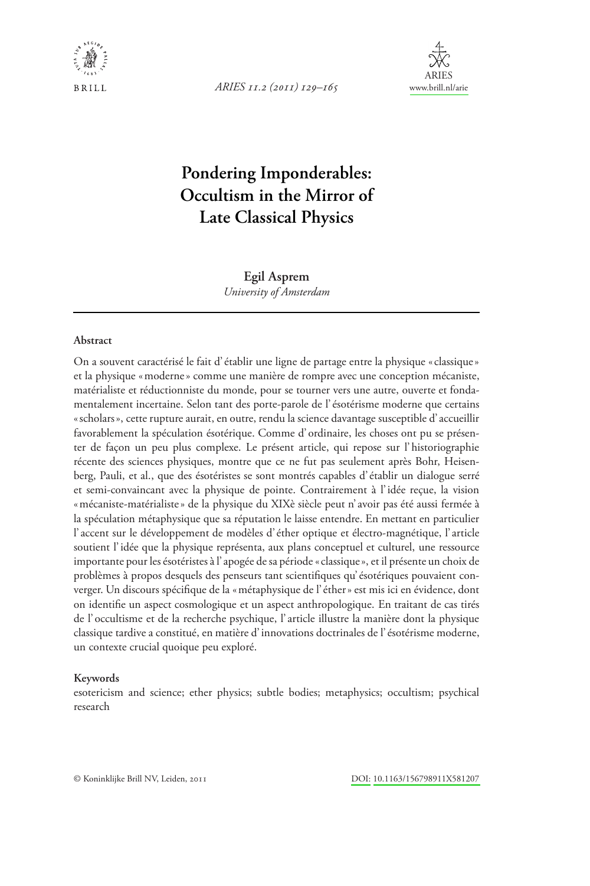

ARIES 11.2 (2011) 129-165



# Pondering Imponderables: Occultism in the Mirror of **Late Classical Physics**

Egil Asprem University of Amsterdam

#### Abstract

On a souvent caractérisé le fait d'établir une ligne de partage entre la physique « classique » et la physique « moderne » comme une manière de rompre avec une conception mécaniste, matérialiste et réductionniste du monde, pour se tourner vers une autre, ouverte et fondamentalement incertaine. Selon tant des porte-parole de l'ésotérisme moderne que certains «scholars», cette rupture aurait, en outre, rendu la science davantage susceptible d'accueillir favorablement la spéculation ésotérique. Comme d'ordinaire, les choses ont pu se présenter de façon un peu plus complexe. Le présent article, qui repose sur l'historiographie récente des sciences physiques, montre que ce ne fut pas seulement après Bohr, Heisenberg, Pauli, et al., que des ésotéristes se sont montrés capables d'établir un dialogue serré et semi-convaincant avec la physique de pointe. Contrairement à l'idée reçue, la vision « mécaniste-matérialiste » de la physique du XIXè siècle peut n'avoir pas été aussi fermée à la spéculation métaphysique que sa réputation le laisse entendre. En mettant en particulier l'accent sur le développement de modèles d'éther optique et électro-magnétique, l'article soutient l'idée que la physique représenta, aux plans conceptuel et culturel, une ressource importante pour les ésotéristes à l'apogée de sa période « classique », et il présente un choix de problèmes à propos desquels des penseurs tant scientifiques qu'ésotériques pouvaient converger. Un discours spécifique de la « métaphysique de l'éther » est mis ici en évidence, dont on identifie un aspect cosmologique et un aspect anthropologique. En traitant de cas tirés de l'occultisme et de la recherche psychique, l'article illustre la manière dont la physique classique tardive a constitué, en matière d'innovations doctrinales de l'ésotérisme moderne, un contexte crucial quoique peu exploré.

#### Keywords

esotericism and science; ether physics; subtle bodies; metaphysics; occultism; psychical research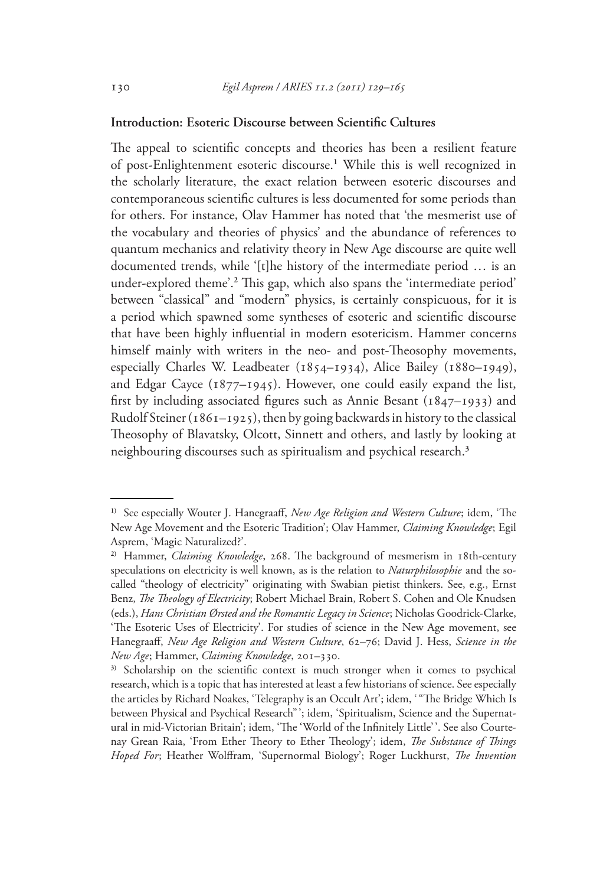## Introduction: Esoteric Discourse between Scientific Cultures

The appeal to scientific concepts and theories has been a resilient feature of post-Enlightenment esoteric discourse.<sup>1</sup> While this is well recognized in the scholarly literature, the exact relation between esoteric discourses and contemporaneous scientific cultures is less documented for some periods than for others. For instance, Olav Hammer has noted that 'the mesmerist use of the vocabulary and theories of physics' and the abundance of references to quantum mechanics and relativity theory in New Age discourse are quite well documented trends, while '[t]he history of the intermediate period ... is an under-explored theme'.<sup>2</sup> This gap, which also spans the 'intermediate period' between "classical" and "modern" physics, is certainly conspicuous, for it is a period which spawned some syntheses of esoteric and scientific discourse that have been highly influential in modern esotericism. Hammer concerns himself mainly with writers in the neo- and post-Theosophy movements, especially Charles W. Leadbeater (1854-1934), Alice Bailey (1880-1949), and Edgar Cayce (1877-1945). However, one could easily expand the list, first by including associated figures such as Annie Besant  $(1847-1933)$  and Rudolf Steiner (1861-1925), then by going backwards in history to the classical Theosophy of Blavatsky, Olcott, Sinnett and others, and lastly by looking at neighbouring discourses such as spiritualism and psychical research.<sup>3</sup>

<sup>&</sup>lt;sup>1)</sup> See especially Wouter J. Hanegraaff, New Age Religion and Western Culture; idem, 'The New Age Movement and the Esoteric Tradition'; Olav Hammer, Claiming Knowledge; Egil Asprem, 'Magic Naturalized?'.

<sup>&</sup>lt;sup>2)</sup> Hammer, *Claiming Knowledge*, 268. The background of mesmerism in 18th-century speculations on electricity is well known, as is the relation to Naturphilosophie and the socalled "theology of electricity" originating with Swabian pietist thinkers. See, e.g., Ernst Benz, The Theology of Electricity; Robert Michael Brain, Robert S. Cohen and Ole Knudsen (eds.), Hans Christian Ørsted and the Romantic Legacy in Science; Nicholas Goodrick-Clarke, 'The Esoteric Uses of Electricity'. For studies of science in the New Age movement, see Hanegraaff, New Age Religion and Western Culture, 62-76; David J. Hess, Science in the New Age; Hammer, Claiming Knowledge, 201-330.

<sup>&</sup>lt;sup>3)</sup> Scholarship on the scientific context is much stronger when it comes to psychical research, which is a topic that has interested at least a few historians of science. See especially the articles by Richard Noakes, 'Telegraphy is an Occult Art'; idem, '"The Bridge Which Is between Physical and Psychical Research"'; idem, 'Spiritualism, Science and the Supernatural in mid-Victorian Britain'; idem, 'The 'World of the Infinitely Little''. See also Courtenay Grean Raia, 'From Ether Theory to Ether Theology'; idem, The Substance of Things Hoped For; Heather Wolffram, 'Supernormal Biology'; Roger Luckhurst, The Invention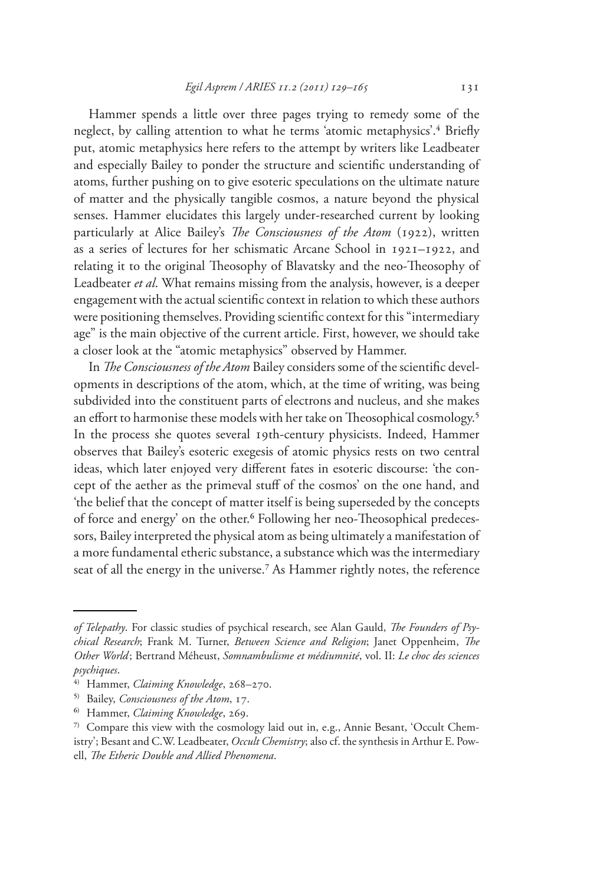Hammer spends a little over three pages trying to remedy some of the neglect, by calling attention to what he terms 'atomic metaphysics'.<sup>4</sup> Briefly put, atomic metaphysics here refers to the attempt by writers like Leadbeater and especially Bailey to ponder the structure and scientific understanding of atoms, further pushing on to give esoteric speculations on the ultimate nature of matter and the physically tangible cosmos, a nature beyond the physical senses. Hammer elucidates this largely under-researched current by looking particularly at Alice Bailey's The Consciousness of the Atom (1922), written as a series of lectures for her schismatic Arcane School in 1921-1922, and relating it to the original Theosophy of Blavatsky and the neo-Theosophy of Leadbeater et al. What remains missing from the analysis, however, is a deeper engagement with the actual scientific context in relation to which these authors were positioning themselves. Providing scientific context for this "intermediary age" is the main objective of the current article. First, however, we should take a closer look at the "atomic metaphysics" observed by Hammer.

In The Consciousness of the Atom Bailey considers some of the scientific developments in descriptions of the atom, which, at the time of writing, was being subdivided into the constituent parts of electrons and nucleus, and she makes an effort to harmonise these models with her take on Theosophical cosmology.<sup>5</sup> In the process she quotes several 19th-century physicists. Indeed, Hammer observes that Bailey's esoteric exegesis of atomic physics rests on two central ideas, which later enjoved very different fates in esoteric discourse: 'the concept of the aether as the primeval stuff of the cosmos' on the one hand, and 'the belief that the concept of matter itself is being superseded by the concepts of force and energy' on the other.<sup>6</sup> Following her neo-Theosophical predecessors, Bailey interpreted the physical atom as being ultimately a manifestation of a more fundamental etheric substance, a substance which was the intermediary seat of all the energy in the universe.<sup>7</sup> As Hammer rightly notes, the reference

of Telepathy. For classic studies of psychical research, see Alan Gauld, The Founders of Psychical Research; Frank M. Turner, Between Science and Religion; Janet Oppenheim, The Other World; Bertrand Méheust, Somnambulisme et médiumnité, vol. II: Le choc des sciences psychiques.

<sup>&</sup>lt;sup>4)</sup> Hammer, Claiming Knowledge, 268-270.

<sup>&</sup>lt;sup>5)</sup> Bailey, Consciousness of the Atom, 17.

<sup>&</sup>lt;sup>6)</sup> Hammer, Claiming Knowledge, 269.

<sup>7)</sup> Compare this view with the cosmology laid out in, e.g., Annie Besant, 'Occult Chemistry'; Besant and C.W. Leadbeater, Occult Chemistry; also cf. the synthesis in Arthur E. Powell. The Etheric Double and Allied Phenomena.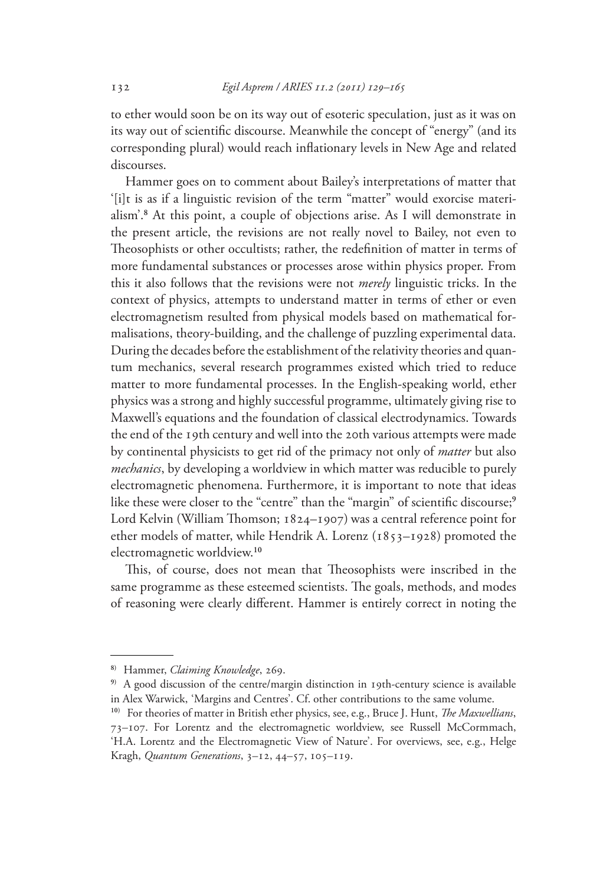to ether would soon be on its way out of esoteric speculation, just as it was on its way out of scientific discourse. Meanwhile the concept of "energy" (and its corresponding plural) would reach inflationary levels in New Age and related discourses

Hammer goes on to comment about Bailey's interpretations of matter that '[i]t is as if a linguistic revision of the term "matter" would exorcise materialism'.8 At this point, a couple of objections arise. As I will demonstrate in the present article, the revisions are not really novel to Bailey, not even to Theosophists or other occultists; rather, the redefinition of matter in terms of more fundamental substances or processes arose within physics proper. From this it also follows that the revisions were not *merely* linguistic tricks. In the context of physics, attempts to understand matter in terms of ether or even electromagnetism resulted from physical models based on mathematical formalisations, theory-building, and the challenge of puzzling experimental data. During the decades before the establishment of the relativity theories and quantum mechanics, several research programmes existed which tried to reduce matter to more fundamental processes. In the English-speaking world, ether physics was a strong and highly successful programme, ultimately giving rise to Maxwell's equations and the foundation of classical electrodynamics. Towards the end of the 19th century and well into the 20th various attempts were made by continental physicists to get rid of the primacy not only of *matter* but also mechanics, by developing a worldview in which matter was reducible to purely electromagnetic phenomena. Furthermore, it is important to note that ideas like these were closer to the "centre" than the "margin" of scientific discourse;<sup>9</sup> Lord Kelvin (William Thomson; 1824-1907) was a central reference point for ether models of matter, while Hendrik A. Lorenz (1853-1928) promoted the electromagnetic worldview.<sup>10</sup>

This, of course, does not mean that Theosophists were inscribed in the same programme as these esteemed scientists. The goals, methods, and modes of reasoning were clearly different. Hammer is entirely correct in noting the

<sup>&</sup>lt;sup>8)</sup> Hammer, Claiming Knowledge, 269.

<sup>&</sup>lt;sup>9)</sup> A good discussion of the centre/margin distinction in 19th-century science is available in Alex Warwick, 'Margins and Centres'. Cf. other contributions to the same volume.

<sup>&</sup>lt;sup>10)</sup> For theories of matter in British ether physics, see, e.g., Bruce J. Hunt, *The Maxwellians*, 73-107. For Lorentz and the electromagnetic worldview, see Russell McCormmach, 'H.A. Lorentz and the Electromagnetic View of Nature'. For overviews, see, e.g., Helge Kragh, Quantum Generations, 3-12, 44-57, 105-119.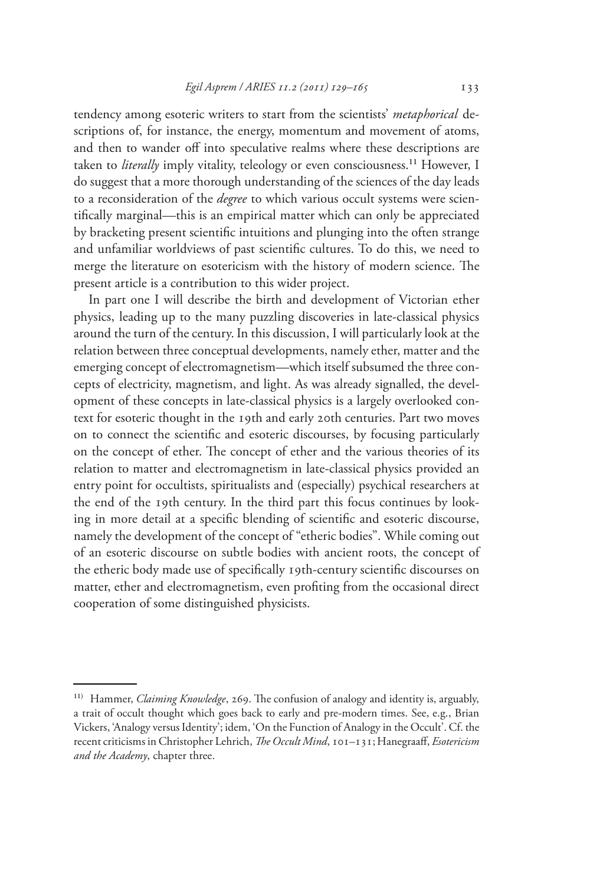tendency among esoteric writers to start from the scientists' metaphorical descriptions of, for instance, the energy, momentum and movement of atoms, and then to wander off into speculative realms where these descriptions are taken to *literally* imply vitality, teleology or even consciousness.<sup>11</sup> However, I do suggest that a more thorough understanding of the sciences of the day leads to a reconsideration of the *degree* to which various occult systems were scientifically marginal—this is an empirical matter which can only be appreciated by bracketing present scientific intuitions and plunging into the often strange and unfamiliar worldviews of past scientific cultures. To do this, we need to merge the literature on esotericism with the history of modern science. The present article is a contribution to this wider project.

In part one I will describe the birth and development of Victorian ether physics, leading up to the many puzzling discoveries in late-classical physics around the turn of the century. In this discussion, I will particularly look at the relation between three conceptual developments, namely ether, matter and the emerging concept of electromagnetism—which itself subsumed the three concepts of electricity, magnetism, and light. As was already signalled, the development of these concepts in late-classical physics is a largely overlooked context for esoteric thought in the 19th and early 20th centuries. Part two moves on to connect the scientific and esoteric discourses, by focusing particularly on the concept of ether. The concept of ether and the various theories of its relation to matter and electromagnetism in late-classical physics provided an entry point for occultists, spiritualists and (especially) psychical researchers at the end of the 19th century. In the third part this focus continues by looking in more detail at a specific blending of scientific and esoteric discourse, namely the development of the concept of "etheric bodies". While coming out of an esoteric discourse on subtle bodies with ancient roots, the concept of the etheric body made use of specifically 19th-century scientific discourses on matter, ether and electromagnetism, even profiting from the occasional direct cooperation of some distinguished physicists.

<sup>&</sup>lt;sup>11)</sup> Hammer, *Claiming Knowledge*, 269. The confusion of analogy and identity is, arguably, a trait of occult thought which goes back to early and pre-modern times. See, e.g., Brian Vickers, 'Analogy versus Identity'; idem, 'On the Function of Analogy in the Occult'. Cf. the recent criticisms in Christopher Lehrich, The Occult Mind, 101-131; Hanegraaff, Esotericism and the Academy, chapter three.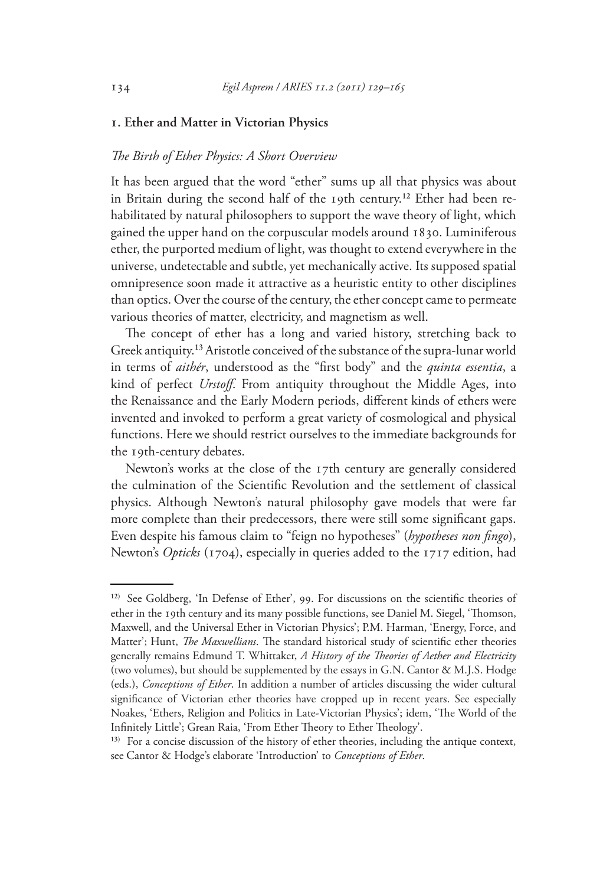#### I. Ether and Matter in Victorian Physics

#### The Birth of Ether Physics: A Short Overview

It has been argued that the word "ether" sums up all that physics was about in Britain during the second half of the 19th century.<sup>12</sup> Ether had been rehabilitated by natural philosophers to support the wave theory of light, which gained the upper hand on the corpuscular models around 1830. Luminiferous ether, the purported medium of light, was thought to extend everywhere in the universe, undetectable and subtle, yet mechanically active. Its supposed spatial omnipresence soon made it attractive as a heuristic entity to other disciplines than optics. Over the course of the century, the ether concept came to permeate various theories of matter, electricity, and magnetism as well.

The concept of ether has a long and varied history, stretching back to Greek antiquity.<sup>13</sup> Aristotle conceived of the substance of the supra-lunar world in terms of aithér, understood as the "first body" and the quinta essentia, a kind of perfect *Urstoff*. From antiquity throughout the Middle Ages, into the Renaissance and the Early Modern periods, different kinds of ethers were invented and invoked to perform a great variety of cosmological and physical functions. Here we should restrict ourselves to the immediate backgrounds for the 19th-century debates.

Newton's works at the close of the 17th century are generally considered the culmination of the Scientific Revolution and the settlement of classical physics. Although Newton's natural philosophy gave models that were far more complete than their predecessors, there were still some significant gaps. Even despite his famous claim to "feign no hypotheses" (hypotheses non fingo), Newton's Opticks (1704), especially in queries added to the 1717 edition, had

<sup>&</sup>lt;sup>12)</sup> See Goldberg, 'In Defense of Ether', 99. For discussions on the scientific theories of ether in the 19th century and its many possible functions, see Daniel M. Siegel, 'Thomson, Maxwell, and the Universal Ether in Victorian Physics'; P.M. Harman, 'Energy, Force, and Matter'; Hunt, *The Maxwellians*. The standard historical study of scientific ether theories generally remains Edmund T. Whittaker, A History of the Theories of Aether and Electricity (two volumes), but should be supplemented by the essays in G.N. Cantor & M.J.S. Hodge (eds.), Conceptions of Ether. In addition a number of articles discussing the wider cultural significance of Victorian ether theories have cropped up in recent years. See especially Noakes, 'Ethers, Religion and Politics in Late-Victorian Physics'; idem, 'The World of the Infinitely Little'; Grean Raia, 'From Ether Theory to Ether Theology'.

<sup>&</sup>lt;sup>13)</sup> For a concise discussion of the history of ether theories, including the antique context, see Cantor & Hodge's elaborate 'Introduction' to Conceptions of Ether.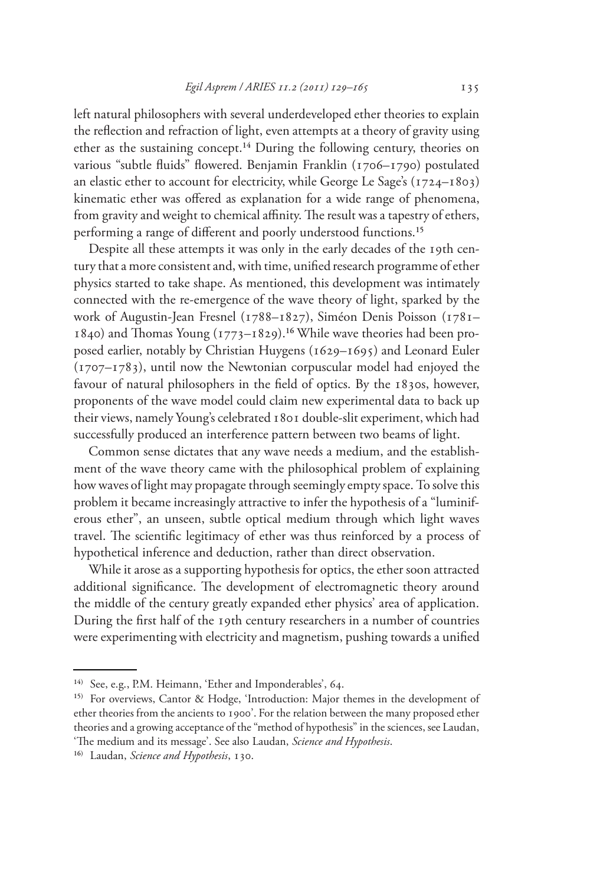left natural philosophers with several underdeveloped ether theories to explain the reflection and refraction of light, even attempts at a theory of gravity using ether as the sustaining concept.<sup>14</sup> During the following century, theories on various "subtle fluids" flowered. Benjamin Franklin (1706-1790) postulated an elastic ether to account for electricity, while George Le Sage's (1724-1803) kinematic ether was offered as explanation for a wide range of phenomena, from gravity and weight to chemical affinity. The result was a tapestry of ethers, performing a range of different and poorly understood functions.<sup>15</sup>

Despite all these attempts it was only in the early decades of the 19th century that a more consistent and, with time, unified research programme of ether physics started to take shape. As mentioned, this development was intimately connected with the re-emergence of the wave theory of light, sparked by the work of Augustin-Jean Fresnel (1788-1827), Siméon Denis Poisson (1781-1840) and Thomas Young (1773–1829).<sup>16</sup> While wave theories had been proposed earlier, notably by Christian Huygens (1629–1695) and Leonard Euler  $(1707 - 1783)$ , until now the Newtonian corpuscular model had enjoyed the favour of natural philosophers in the field of optics. By the 1830s, however, proponents of the wave model could claim new experimental data to back up their views, namely Young's celebrated 1801 double-slit experiment, which had successfully produced an interference pattern between two beams of light.

Common sense dictates that any wave needs a medium, and the establishment of the wave theory came with the philosophical problem of explaining how waves of light may propagate through seemingly empty space. To solve this problem it became increasingly attractive to infer the hypothesis of a "luminiferous ether", an unseen, subtle optical medium through which light waves travel. The scientific legitimacy of ether was thus reinforced by a process of hypothetical inference and deduction, rather than direct observation.

While it arose as a supporting hypothesis for optics, the ether soon attracted additional significance. The development of electromagnetic theory around the middle of the century greatly expanded ether physics' area of application. During the first half of the 19th century researchers in a number of countries were experimenting with electricity and magnetism, pushing towards a unified

<sup>&</sup>lt;sup>14)</sup> See, e.g., P.M. Heimann, 'Ether and Imponderables', 64.

<sup>&</sup>lt;sup>15)</sup> For overviews, Cantor & Hodge, 'Introduction: Major themes in the development of ether theories from the ancients to 1900'. For the relation between the many proposed ether theories and a growing acceptance of the "method of hypothesis" in the sciences, see Laudan, 'The medium and its message'. See also Laudan, Science and Hypothesis.

<sup>&</sup>lt;sup>16</sup> Laudan, Science and Hypothesis, 130.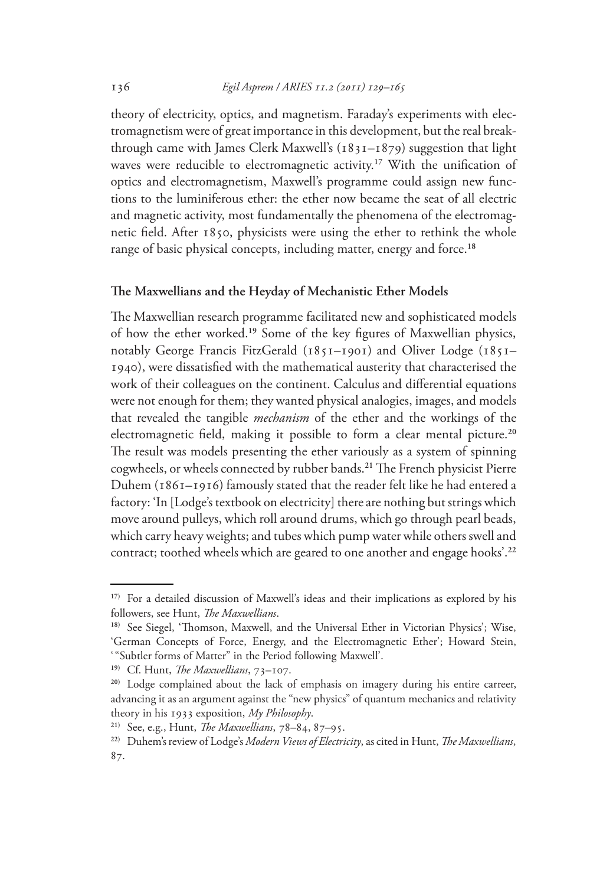theory of electricity, optics, and magnetism. Faraday's experiments with electromagnetism were of great importance in this development, but the real breakthrough came with James Clerk Maxwell's  $(1831 - 1879)$  suggestion that light waves were reducible to electromagnetic activity.<sup>17</sup> With the unification of optics and electromagnetism, Maxwell's programme could assign new functions to the luminiferous ether: the ether now became the seat of all electric and magnetic activity, most fundamentally the phenomena of the electromagnetic field. After 1850, physicists were using the ether to rethink the whole range of basic physical concepts, including matter, energy and force.<sup>18</sup>

## The Maxwellians and the Heyday of Mechanistic Ether Models

The Maxwellian research programme facilitated new and sophisticated models of how the ether worked.<sup>19</sup> Some of the key figures of Maxwellian physics, notably George Francis FitzGerald (1851-1901) and Oliver Lodge (1851-1940), were dissatisfied with the mathematical austerity that characterised the work of their colleagues on the continent. Calculus and differential equations were not enough for them; they wanted physical analogies, images, and models that revealed the tangible mechanism of the ether and the workings of the electromagnetic field, making it possible to form a clear mental picture.<sup>20</sup> The result was models presenting the ether variously as a system of spinning cogwheels, or wheels connected by rubber bands.<sup>21</sup> The French physicist Pierre Duhem (1861-1916) famously stated that the reader felt like he had entered a factory: 'In [Lodge's textbook on electricity] there are nothing but strings which move around pulleys, which roll around drums, which go through pearl beads, which carry heavy weights; and tubes which pump water while others swell and contract; toothed wheels which are geared to one another and engage hooks'.<sup>22</sup>

136

<sup>&</sup>lt;sup>17)</sup> For a detailed discussion of Maxwell's ideas and their implications as explored by his followers, see Hunt, The Maxwellians.

<sup>&</sup>lt;sup>18)</sup> See Siegel, 'Thomson, Maxwell, and the Universal Ether in Victorian Physics'; Wise, 'German Concepts of Force, Energy, and the Electromagnetic Ether'; Howard Stein, "Subtler forms of Matter" in the Period following Maxwell'.

<sup>&</sup>lt;sup>19)</sup> Cf. Hunt, *The Maxwellians*, 73-107.

<sup>&</sup>lt;sup>20)</sup> Lodge complained about the lack of emphasis on imagery during his entire carreer, advancing it as an argument against the "new physics" of quantum mechanics and relativity theory in his 1933 exposition, My Philosophy.

<sup>&</sup>lt;sup>21)</sup> See, e.g., Hunt, *The Maxwellians*, 78-84, 87-95.

<sup>&</sup>lt;sup>22)</sup> Duhem's review of Lodge's Modern Views of Electricity, as cited in Hunt, *The Maxwellians*, 87.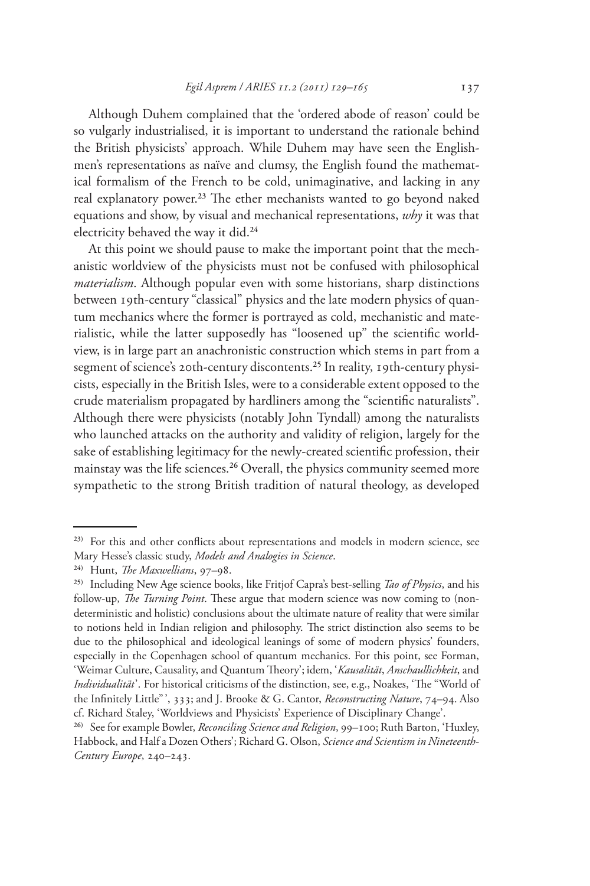Although Duhem complained that the 'ordered abode of reason' could be so vulgarly industrialised, it is important to understand the rationale behind the British physicists' approach. While Duhem may have seen the Englishmen's representations as naïve and clumsy, the English found the mathematical formalism of the French to be cold, unimaginative, and lacking in any real explanatory power.<sup>23</sup> The ether mechanists wanted to go beyond naked equations and show, by visual and mechanical representations,  $why$  it was that electricity behaved the way it did.<sup>24</sup>

At this point we should pause to make the important point that the mechanistic worldview of the physicists must not be confused with philosophical materialism. Although popular even with some historians, sharp distinctions between 19th-century "classical" physics and the late modern physics of quantum mechanics where the former is portrayed as cold, mechanistic and materialistic, while the latter supposedly has "loosened up" the scientific worldview, is in large part an anachronistic construction which stems in part from a segment of science's 20th-century discontents.<sup>25</sup> In reality, 19th-century physicists, especially in the British Isles, were to a considerable extent opposed to the crude materialism propagated by hardliners among the "scientific naturalists". Although there were physicists (notably John Tyndall) among the naturalists who launched attacks on the authority and validity of religion, largely for the sake of establishing legitimacy for the newly-created scientific profession, their mainstay was the life sciences.<sup>26</sup> Overall, the physics community seemed more sympathetic to the strong British tradition of natural theology, as developed

<sup>&</sup>lt;sup>23)</sup> For this and other conflicts about representations and models in modern science, see Mary Hesse's classic study, Models and Analogies in Science.

<sup>&</sup>lt;sup>24)</sup> Hunt, *The Maxwellians*, 97-98.

<sup>&</sup>lt;sup>25)</sup> Including New Age science books, like Fritjof Capra's best-selling Tao of Physics, and his follow-up, *The Turning Point*. These argue that modern science was now coming to (nondeterministic and holistic) conclusions about the ultimate nature of reality that were similar to notions held in Indian religion and philosophy. The strict distinction also seems to be due to the philosophical and ideological leanings of some of modern physics' founders, especially in the Copenhagen school of quantum mechanics. For this point, see Forman, 'Weimar Culture, Causality, and Quantum Theory'; idem, 'Kausalität, Anschaullichkeit, and Individualität'. For historical criticisms of the distinction, see, e.g., Noakes, 'The "World of the Infinitely Little"', 333; and J. Brooke & G. Cantor, Reconstructing Nature, 74-94. Also cf. Richard Staley, 'Worldviews and Physicists' Experience of Disciplinary Change'.

<sup>&</sup>lt;sup>26)</sup> See for example Bowler, *Reconciling Science and Religion*, 99-100; Ruth Barton, 'Huxley, Habbock, and Half a Dozen Others'; Richard G. Olson, Science and Scientism in Nineteenth-Century Europe, 240-243.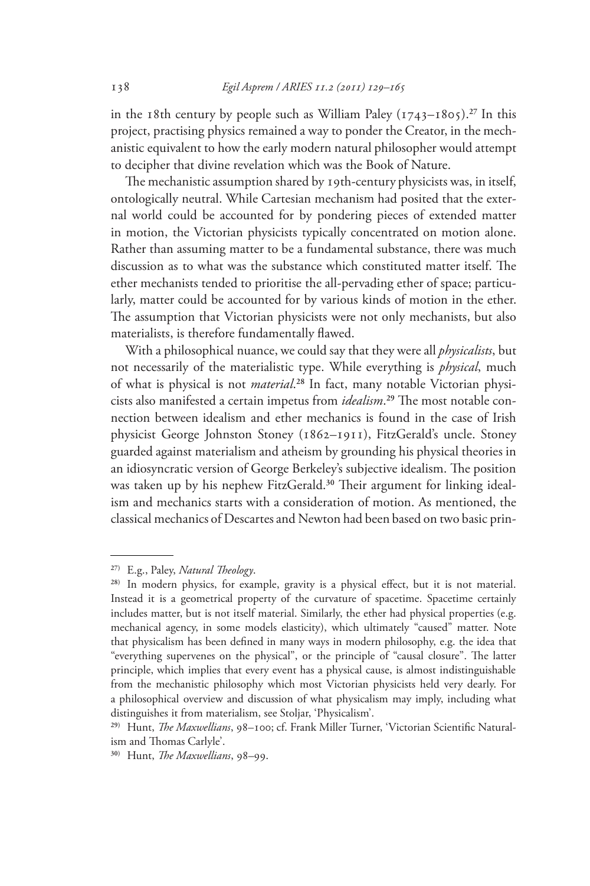in the 18th century by people such as William Paley  $(1743-1805)^{27}$  In this project, practising physics remained a way to ponder the Creator, in the mechanistic equivalent to how the early modern natural philosopher would attempt to decipher that divine revelation which was the Book of Nature.

The mechanistic assumption shared by 19th-century physicists was, in itself, ontologically neutral. While Cartesian mechanism had posited that the external world could be accounted for by pondering pieces of extended matter in motion, the Victorian physicists typically concentrated on motion alone. Rather than assuming matter to be a fundamental substance, there was much discussion as to what was the substance which constituted matter itself. The ether mechanists tended to prioritise the all-pervading ether of space; particularly, matter could be accounted for by various kinds of motion in the ether. The assumption that Victorian physicists were not only mechanists, but also materialists, is therefore fundamentally flawed.

With a philosophical nuance, we could say that they were all *physicalists*, but not necessarily of the materialistic type. While everything is *physical*, much of what is physical is not *material*.<sup>28</sup> In fact, many notable Victorian physicists also manifested a certain impetus from *idealism*.<sup>29</sup> The most notable connection between idealism and ether mechanics is found in the case of Irish physicist George Johnston Stoney (1862-1911), FitzGerald's uncle. Stoney guarded against materialism and atheism by grounding his physical theories in an idiosyncratic version of George Berkeley's subjective idealism. The position was taken up by his nephew FitzGerald.<sup>30</sup> Their argument for linking idealism and mechanics starts with a consideration of motion. As mentioned, the classical mechanics of Descartes and Newton had been based on two basic prin-

<sup>27)</sup> E.g., Paley, Natural Theology.

<sup>&</sup>lt;sup>28)</sup> In modern physics, for example, gravity is a physical effect, but it is not material. Instead it is a geometrical property of the curvature of spacetime. Spacetime certainly includes matter, but is not itself material. Similarly, the ether had physical properties (e.g. mechanical agency, in some models elasticity), which ultimately "caused" matter. Note that physicalism has been defined in many ways in modern philosophy, e.g. the idea that "everything supervenes on the physical", or the principle of "causal closure". The latter principle, which implies that every event has a physical cause, is almost indistinguishable from the mechanistic philosophy which most Victorian physicists held very dearly. For a philosophical overview and discussion of what physicalism may imply, including what distinguishes it from materialism, see Stoljar, 'Physicalism'.

<sup>&</sup>lt;sup>29)</sup> Hunt, *The Maxwellians*, 98-100; cf. Frank Miller Turner, 'Victorian Scientific Naturalism and Thomas Carlyle'.

<sup>&</sup>lt;sup>30)</sup> Hunt, *The Maxwellians*, 98-99.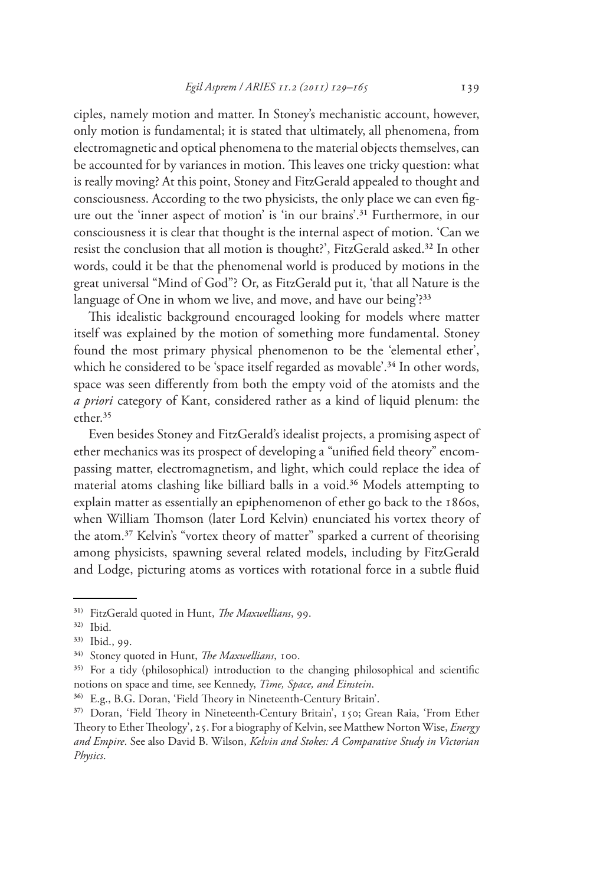ciples, namely motion and matter. In Stoney's mechanistic account, however, only motion is fundamental; it is stated that ultimately, all phenomena, from electromagnetic and optical phenomena to the material objects themselves, can be accounted for by variances in motion. This leaves one tricky question: what is really moving? At this point, Stoney and FitzGerald appealed to thought and consciousness. According to the two physicists, the only place we can even figure out the 'inner aspect of motion' is 'in our brains'.<sup>31</sup> Furthermore, in our consciousness it is clear that thought is the internal aspect of motion. 'Can we resist the conclusion that all motion is thought?', FitzGerald asked.<sup>32</sup> In other words, could it be that the phenomenal world is produced by motions in the great universal "Mind of God"? Or, as FitzGerald put it, 'that all Nature is the language of One in whom we live, and move, and have our being'?<sup>33</sup>

This idealistic background encouraged looking for models where matter itself was explained by the motion of something more fundamental. Stoney found the most primary physical phenomenon to be the 'elemental ether', which he considered to be 'space itself regarded as movable'.<sup>34</sup> In other words, space was seen differently from both the empty void of the atomists and the a priori category of Kant, considered rather as a kind of liquid plenum: the  $erher<sup>35</sup>$ 

Even besides Stoney and FitzGerald's idealist projects, a promising aspect of ether mechanics was its prospect of developing a "unified field theory" encompassing matter, electromagnetism, and light, which could replace the idea of material atoms clashing like billiard balls in a void.<sup>36</sup> Models attempting to explain matter as essentially an epiphenomenon of ether go back to the 1860s, when William Thomson (later Lord Kelvin) enunciated his vortex theory of the atom.<sup>37</sup> Kelvin's "vortex theory of matter" sparked a current of theorising among physicists, spawning several related models, including by FitzGerald and Lodge, picturing atoms as vortices with rotational force in a subtle fluid

<sup>&</sup>lt;sup>31)</sup> FitzGerald quoted in Hunt, *The Maxwellians*, 99.

 $32)$  Ibid.

<sup>33)</sup> Ibid., 99.

<sup>34)</sup> Stoney quoted in Hunt, The Maxwellians, 100.

<sup>&</sup>lt;sup>35)</sup> For a tidy (philosophical) introduction to the changing philosophical and scientific notions on space and time, see Kennedy, Time, Space, and Einstein.

<sup>&</sup>lt;sup>36)</sup> E.g., B.G. Doran, 'Field Theory in Nineteenth-Century Britain'.

<sup>&</sup>lt;sup>37)</sup> Doran, 'Field Theory in Nineteenth-Century Britain', 150; Grean Raia, 'From Ether Theory to Ether Theology', 25. For a biography of Kelvin, see Matthew Norton Wise, Energy and Empire. See also David B. Wilson, Kelvin and Stokes: A Comparative Study in Victorian Physics.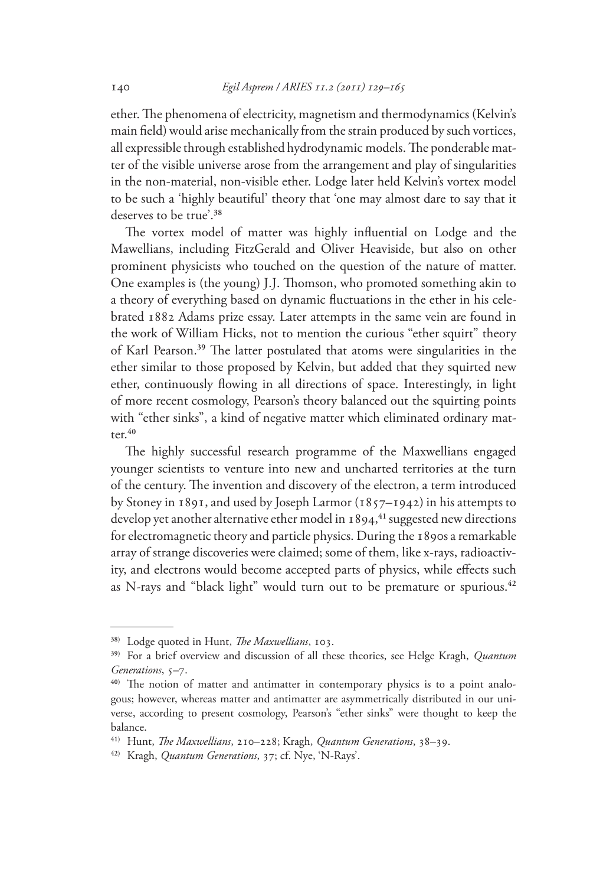ether. The phenomena of electricity, magnetism and thermodynamics (Kelvin's main field) would arise mechanically from the strain produced by such vortices, all expressible through established hydrodynamic models. The ponderable matter of the visible universe arose from the arrangement and play of singularities in the non-material, non-visible ether. Lodge later held Kelvin's vortex model to be such a 'highly beautiful' theory that 'one may almost dare to say that it deserves to be true'.<sup>38</sup>

The vortex model of matter was highly influential on Lodge and the Mawellians, including FitzGerald and Oliver Heaviside, but also on other prominent physicists who touched on the question of the nature of matter. One examples is (the young) J.J. Thomson, who promoted something akin to a theory of everything based on dynamic fluctuations in the ether in his celebrated 1882 Adams prize essay. Later attempts in the same vein are found in the work of William Hicks, not to mention the curious "ether squirt" theory of Karl Pearson.<sup>39</sup> The latter postulated that atoms were singularities in the ether similar to those proposed by Kelvin, but added that they squirted new ether, continuously flowing in all directions of space. Interestingly, in light of more recent cosmology, Pearson's theory balanced out the squirting points with "ether sinks", a kind of negative matter which eliminated ordinary mat $ter<sup>40</sup>$ 

The highly successful research programme of the Maxwellians engaged younger scientists to venture into new and uncharted territories at the turn of the century. The invention and discovery of the electron, a term introduced by Stoney in 1891, and used by Joseph Larmor (1857-1942) in his attempts to develop yet another alternative ether model in 1894,<sup>41</sup> suggested new directions for electromagnetic theory and particle physics. During the 1890s a remarkable array of strange discoveries were claimed; some of them, like x-rays, radioactivity, and electrons would become accepted parts of physics, while effects such as N-rays and "black light" would turn out to be premature or spurious.<sup>42</sup>

<sup>38)</sup> Lodge quoted in Hunt, The Maxwellians, 103.

<sup>&</sup>lt;sup>39)</sup> For a brief overview and discussion of all these theories, see Helge Kragh, *Quantum* Generations, 5-7.

<sup>&</sup>lt;sup>40)</sup> The notion of matter and antimatter in contemporary physics is to a point analogous; however, whereas matter and antimatter are asymmetrically distributed in our universe, according to present cosmology, Pearson's "ether sinks" were thought to keep the balance.

<sup>&</sup>lt;sup>41)</sup> Hunt, *The Maxwellians*, 210-228; Kragh, *Quantum Generations*, 38-39.

<sup>&</sup>lt;sup>42)</sup> Kragh, *Quantum Generations*, 37; cf. Nye, 'N-Rays'.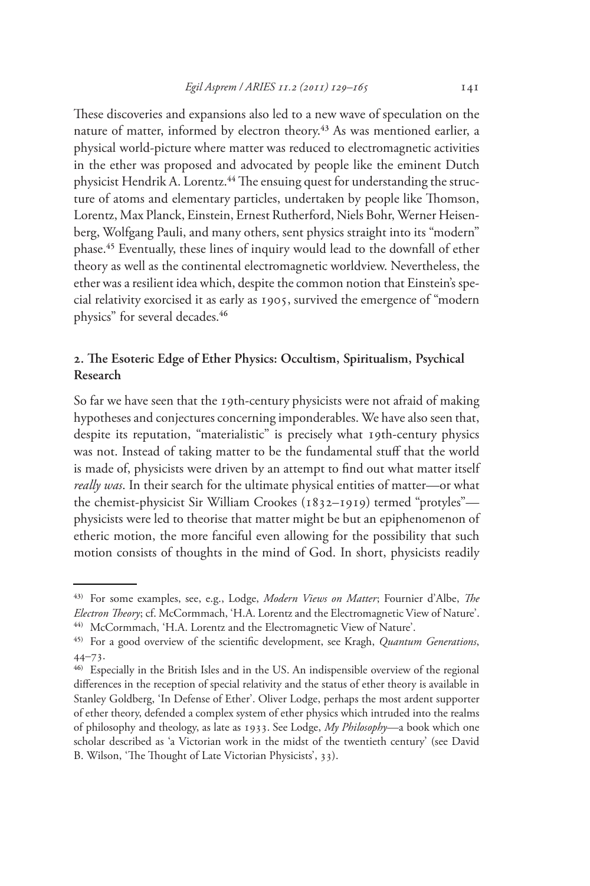These discoveries and expansions also led to a new wave of speculation on the nature of matter, informed by electron theory.<sup>43</sup> As was mentioned earlier, a physical world-picture where matter was reduced to electromagnetic activities in the ether was proposed and advocated by people like the eminent Dutch physicist Hendrik A. Lorentz.<sup>44</sup> The ensuing quest for understanding the structure of atoms and elementary particles, undertaken by people like Thomson, Lorentz, Max Planck, Einstein, Ernest Rutherford, Niels Bohr, Werner Heisenberg, Wolfgang Pauli, and many others, sent physics straight into its "modern" phase.<sup>45</sup> Eventually, these lines of inquiry would lead to the downfall of ether theory as well as the continental electromagnetic worldview. Nevertheless, the ether was a resilient idea which, despite the common notion that Einstein's special relativity exorcised it as early as 1905, survived the emergence of "modern physics" for several decades.<sup>46</sup>

## 2. The Esoteric Edge of Ether Physics: Occultism, Spiritualism, Psychical Research

So far we have seen that the 19th-century physicists were not afraid of making hypotheses and conjectures concerning imponderables. We have also seen that, despite its reputation, "materialistic" is precisely what 19th-century physics was not. Instead of taking matter to be the fundamental stuff that the world is made of, physicists were driven by an attempt to find out what matter itself really was. In their search for the ultimate physical entities of matter-or what the chemist-physicist Sir William Crookes (1832-1919) termed "protyles"physicists were led to theorise that matter might be but an epiphenomenon of etheric motion, the more fanciful even allowing for the possibility that such motion consists of thoughts in the mind of God. In short, physicists readily

<sup>43)</sup> For some examples, see, e.g., Lodge, Modern Views on Matter; Fournier d'Albe, The Electron Theory; cf. McCormmach, 'H.A. Lorentz and the Electromagnetic View of Nature'. <sup>44)</sup> McCormmach, 'H.A. Lorentz and the Electromagnetic View of Nature'.

<sup>&</sup>lt;sup>45)</sup> For a good overview of the scientific development, see Kragh, Quantum Generations,  $44 - 73$ 

<sup>&</sup>lt;sup>46</sup> Especially in the British Isles and in the US. An indispensible overview of the regional differences in the reception of special relativity and the status of ether theory is available in Stanley Goldberg, 'In Defense of Ether'. Oliver Lodge, perhaps the most ardent supporter of ether theory, defended a complex system of ether physics which intruded into the realms of philosophy and theology, as late as 1933. See Lodge, My Philosophy-a book which one scholar described as 'a Victorian work in the midst of the twentieth century' (see David B. Wilson, 'The Thought of Late Victorian Physicists', 33).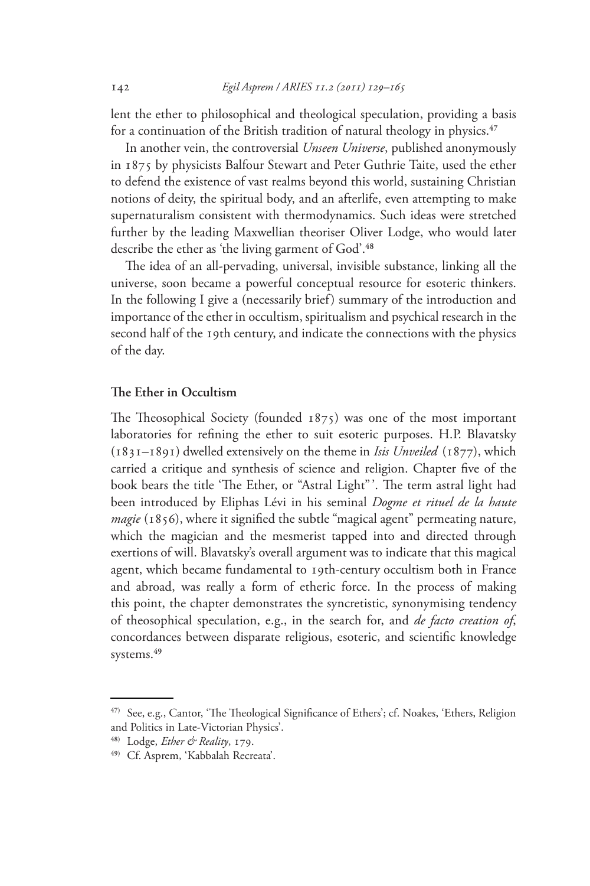lent the ether to philosophical and theological speculation, providing a basis for a continuation of the British tradition of natural theology in physics.<sup>47</sup>

In another vein, the controversial *Unseen Universe*, published anonymously in 1875 by physicists Balfour Stewart and Peter Guthrie Taite, used the ether to defend the existence of vast realms beyond this world, sustaining Christian notions of deity, the spiritual body, and an afterlife, even attempting to make supernaturalism consistent with thermodynamics. Such ideas were stretched further by the leading Maxwellian theoriser Oliver Lodge, who would later describe the ether as 'the living garment of God'.<sup>48</sup>

The idea of an all-pervading, universal, invisible substance, linking all the universe, soon became a powerful conceptual resource for esoteric thinkers. In the following I give a (necessarily brief) summary of the introduction and importance of the ether in occultism, spiritualism and psychical research in the second half of the 19th century, and indicate the connections with the physics of the day.

#### The Ether in Occultism

The Theosophical Society (founded  $1875$ ) was one of the most important laboratories for refining the ether to suit esoteric purposes. H.P. Blavatsky (1831-1891) dwelled extensively on the theme in Isis Unveiled (1877), which carried a critique and synthesis of science and religion. Chapter five of the book bears the title 'The Ether, or "Astral Light"'. The term astral light had been introduced by Eliphas Lévi in his seminal Dogme et rituel de la haute magie (1856), where it signified the subtle "magical agent" permeating nature, which the magician and the mesmerist tapped into and directed through exertions of will. Blavatsky's overall argument was to indicate that this magical agent, which became fundamental to 19th-century occultism both in France and abroad, was really a form of etheric force. In the process of making this point, the chapter demonstrates the syncretistic, synonymising tendency of theosophical speculation, e.g., in the search for, and de facto creation of, concordances between disparate religious, esoteric, and scientific knowledge systems.<sup>49</sup>

<sup>47)</sup> See, e.g., Cantor, 'The Theological Significance of Ethers'; cf. Noakes, 'Ethers, Religion and Politics in Late-Victorian Physics'.

<sup>&</sup>lt;sup>48)</sup> Lodge, Ether & Reality, 179.

<sup>&</sup>lt;sup>49)</sup> Cf. Asprem, 'Kabbalah Recreata'.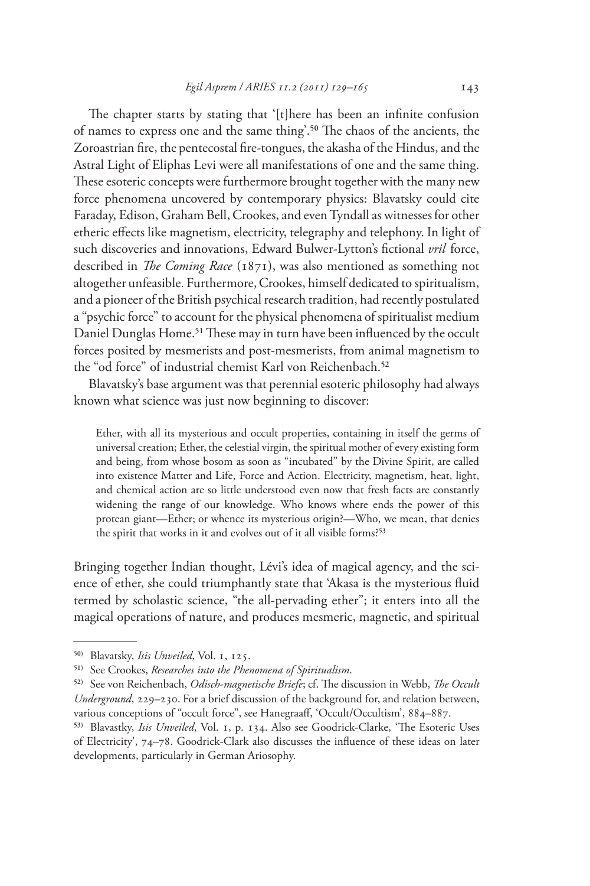The chapter starts by stating that '[t]here has been an infinite confusion of names to express one and the same thing'.<sup>50</sup> The chaos of the ancients, the Zoroastrian fire, the pentecostal fire-tongues, the akasha of the Hindus, and the Astral Light of Eliphas Levi were all manifestations of one and the same thing. These esoteric concepts were furthermore brought together with the many new force phenomena uncovered by contemporary physics: Blavatsky could cite Faraday, Edison, Graham Bell, Crookes, and even Tyndall as witnesses for other etheric effects like magnetism, electricity, telegraphy and telephony. In light of such discoveries and innovations, Edward Bulwer-Lytton's fictional vril force, described in *The Coming Race* (1871), was also mentioned as something not altogether unfeasible. Furthermore, Crookes, himself dedicated to spiritualism, and a pioneer of the British psychical research tradition, had recently postulated a "psychic force" to account for the physical phenomena of spiritualist medium Daniel Dunglas Home.<sup>51</sup> These may in turn have been influenced by the occult forces posited by mesmerists and post-mesmerists, from animal magnetism to the "od force" of industrial chemist Karl von Reichenbach.<sup>52</sup>

Blavatsky's base argument was that perennial esoteric philosophy had always known what science was just now beginning to discover:

Ether, with all its mysterious and occult properties, containing in itself the germs of universal creation; Ether, the celestial virgin, the spiritual mother of every existing form and being, from whose bosom as soon as "incubated" by the Divine Spirit, are called into existence Matter and Life, Force and Action. Electricity, magnetism, heat, light, and chemical action are so little understood even now that fresh facts are constantly widening the range of our knowledge. Who knows where ends the power of this protean giant-Ether; or whence its mysterious origin?-Who, we mean, that denies the spirit that works in it and evolves out of it all visible forms?<sup>53</sup>

Bringing together Indian thought, Lévi's idea of magical agency, and the science of ether, she could triumphantly state that 'Akasa is the mysterious fluid termed by scholastic science, "the all-pervading ether"; it enters into all the magical operations of nature, and produces mesmeric, magnetic, and spiritual

<sup>&</sup>lt;sup>50)</sup> Blavatsky, *Isis Unveiled*, Vol. 1, 125.

<sup>&</sup>lt;sup>51)</sup> See Crookes, Researches into the Phenomena of Spiritualism.

<sup>52)</sup> See von Reichenbach, Odisch-magnetische Briefe; cf. The discussion in Webb, The Occult Underground, 229-230. For a brief discussion of the background for, and relation between, various conceptions of "occult force", see Hanegraaff, 'Occult/Occultism', 884-887.

<sup>53)</sup> Blavastky, Isis Unveiled, Vol. 1, p. 134. Also see Goodrick-Clarke, 'The Esoteric Uses of Electricity', 74-78. Goodrick-Clark also discusses the influence of these ideas on later developments, particularly in German Ariosophy.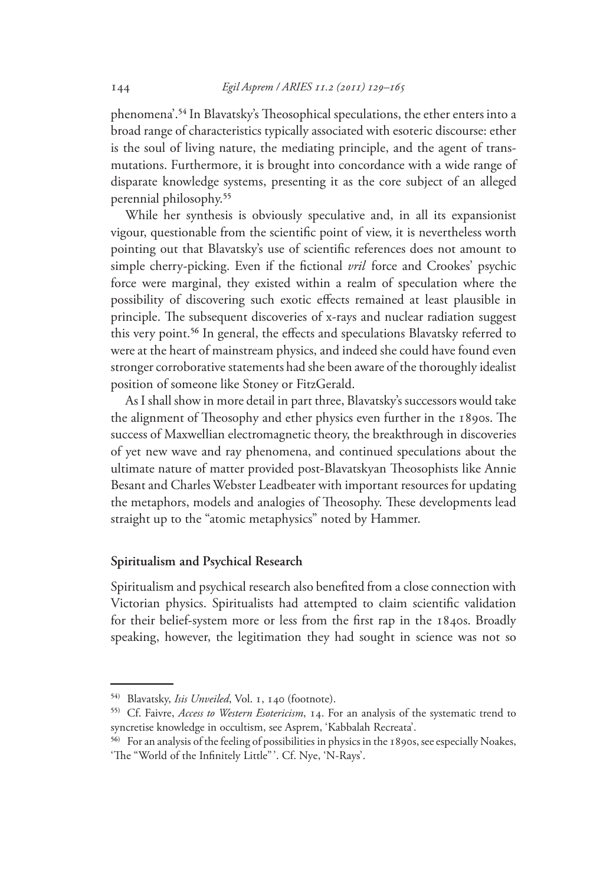phenomena<sup>'</sup>.<sup>54</sup> In Blavatsky's Theosophical speculations, the ether enters into a broad range of characteristics typically associated with esoteric discourse: ether is the soul of living nature, the mediating principle, and the agent of transmutations. Furthermore, it is brought into concordance with a wide range of disparate knowledge systems, presenting it as the core subject of an alleged perennial philosophy.<sup>55</sup>

While her synthesis is obviously speculative and, in all its expansionist vigour, questionable from the scientific point of view, it is nevertheless worth pointing out that Blavatsky's use of scientific references does not amount to simple cherry-picking. Even if the fictional *vril* force and Crookes' psychic force were marginal, they existed within a realm of speculation where the possibility of discovering such exotic effects remained at least plausible in principle. The subsequent discoveries of x-rays and nuclear radiation suggest this very point.<sup>56</sup> In general, the effects and speculations Blavatsky referred to were at the heart of mainstream physics, and indeed she could have found even stronger corroborative statements had she been aware of the thoroughly idealist position of someone like Stoney or FitzGerald.

As I shall show in more detail in part three, Blavatsky's successors would take the alignment of Theosophy and ether physics even further in the 1890s. The success of Maxwellian electromagnetic theory, the breakthrough in discoveries of yet new wave and ray phenomena, and continued speculations about the ultimate nature of matter provided post-Blavatskyan Theosophists like Annie Besant and Charles Webster Leadbeater with important resources for updating the metaphors, models and analogies of Theosophy. These developments lead straight up to the "atomic metaphysics" noted by Hammer.

## Spiritualism and Psychical Research

Spiritualism and psychical research also benefited from a close connection with Victorian physics. Spiritualists had attempted to claim scientific validation for their belief-system more or less from the first rap in the 1840s. Broadly speaking, however, the legitimation they had sought in science was not so

<sup>&</sup>lt;sup>54)</sup> Blavatsky, *Isis Unveiled*, Vol. 1, 140 (footnote).

<sup>&</sup>lt;sup>55)</sup> Cf. Faivre, *Access to Western Esotericism*, 14. For an analysis of the systematic trend to syncretise knowledge in occultism, see Asprem, 'Kabbalah Recreata'.

<sup>&</sup>lt;sup>56</sup> For an analysis of the feeling of possibilities in physics in the 1890s, see especially Noakes, 'The "World of the Infinitely Little"'. Cf. Nye, 'N-Rays'.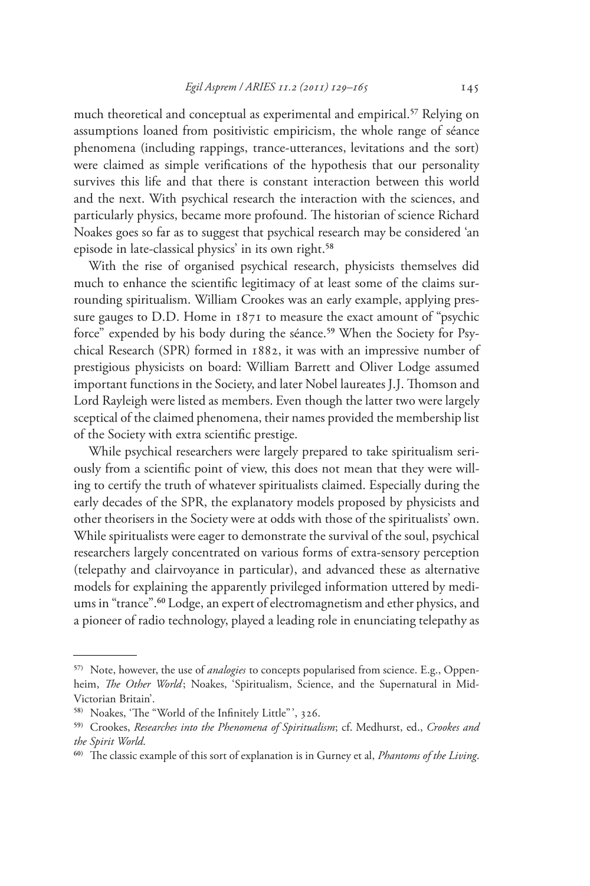much theoretical and conceptual as experimental and empirical.<sup>57</sup> Relying on assumptions loaned from positivistic empiricism, the whole range of séance phenomena (including rappings, trance-utterances, levitations and the sort) were claimed as simple verifications of the hypothesis that our personality survives this life and that there is constant interaction between this world and the next. With psychical research the interaction with the sciences, and particularly physics, became more profound. The historian of science Richard Noakes goes so far as to suggest that psychical research may be considered 'an episode in late-classical physics' in its own right.<sup>58</sup>

With the rise of organised psychical research, physicists themselves did much to enhance the scientific legitimacy of at least some of the claims surrounding spiritualism. William Crookes was an early example, applying pressure gauges to D.D. Home in 1871 to measure the exact amount of "psychic force" expended by his body during the séance.<sup>59</sup> When the Society for Psychical Research (SPR) formed in 1882, it was with an impressive number of prestigious physicists on board: William Barrett and Oliver Lodge assumed important functions in the Society, and later Nobel laureates J.J. Thomson and Lord Rayleigh were listed as members. Even though the latter two were largely sceptical of the claimed phenomena, their names provided the membership list of the Society with extra scientific prestige.

While psychical researchers were largely prepared to take spiritualism seriously from a scientific point of view, this does not mean that they were willing to certify the truth of whatever spiritualists claimed. Especially during the early decades of the SPR, the explanatory models proposed by physicists and other theorisers in the Society were at odds with those of the spiritualists' own. While spiritualists were eager to demonstrate the survival of the soul, psychical researchers largely concentrated on various forms of extra-sensory perception (telepathy and clairvoyance in particular), and advanced these as alternative models for explaining the apparently privileged information uttered by mediums in "trance".<sup>60</sup> Lodge, an expert of electromagnetism and ether physics, and a pioneer of radio technology, played a leading role in enunciating telepathy as

<sup>57)</sup> Note, however, the use of *analogies* to concepts popularised from science. E.g., Oppenheim, The Other World; Noakes, 'Spiritualism, Science, and the Supernatural in Mid-Victorian Britain'.

<sup>&</sup>lt;sup>58)</sup> Noakes, 'The "World of the Infinitely Little"', 326.

<sup>59)</sup> Crookes, Researches into the Phenomena of Spiritualism; cf. Medhurst, ed., Crookes and the Spirit World.

<sup>&</sup>lt;sup>60)</sup> The classic example of this sort of explanation is in Gurney et al, *Phantoms of the Living*.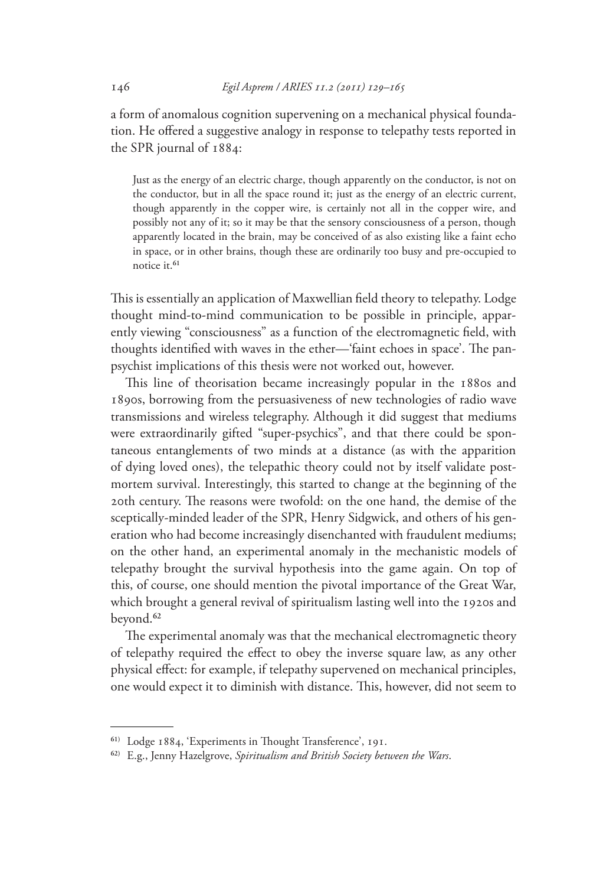a form of anomalous cognition supervening on a mechanical physical foundation. He offered a suggestive analogy in response to telepathy tests reported in the SPR journal of 1884:

Just as the energy of an electric charge, though apparently on the conductor, is not on the conductor, but in all the space round it; just as the energy of an electric current, though apparently in the copper wire, is certainly not all in the copper wire, and possibly not any of it; so it may be that the sensory consciousness of a person, though apparently located in the brain, may be conceived of as also existing like a faint echo in space, or in other brains, though these are ordinarily too busy and pre-occupied to notice it.<sup>61</sup>

This is essentially an application of Maxwellian field theory to telepathy. Lodge thought mind-to-mind communication to be possible in principle, apparently viewing "consciousness" as a function of the electromagnetic field, with thoughts identified with waves in the ether-'faint echoes in space'. The panpsychist implications of this thesis were not worked out, however.

This line of theorisation became increasingly popular in the 1880s and 1890s, borrowing from the persuasiveness of new technologies of radio wave transmissions and wireless telegraphy. Although it did suggest that mediums were extraordinarily gifted "super-psychics", and that there could be spontaneous entanglements of two minds at a distance (as with the apparition of dying loved ones), the telepathic theory could not by itself validate postmortem survival. Interestingly, this started to change at the beginning of the 20th century. The reasons were twofold: on the one hand, the demise of the sceptically-minded leader of the SPR, Henry Sidgwick, and others of his generation who had become increasingly disenchanted with fraudulent mediums; on the other hand, an experimental anomaly in the mechanistic models of telepathy brought the survival hypothesis into the game again. On top of this, of course, one should mention the pivotal importance of the Great War, which brought a general revival of spiritualism lasting well into the 1920s and beyond.<sup>62</sup>

The experimental anomaly was that the mechanical electromagnetic theory of telepathy required the effect to obey the inverse square law, as any other physical effect: for example, if telepathy supervened on mechanical principles, one would expect it to diminish with distance. This, however, did not seem to

<sup>&</sup>lt;sup>61)</sup> Lodge 1884, 'Experiments in Thought Transference', 191.

<sup>&</sup>lt;sup>62)</sup> E.g., Jenny Hazelgrove, Spiritualism and British Society between the Wars.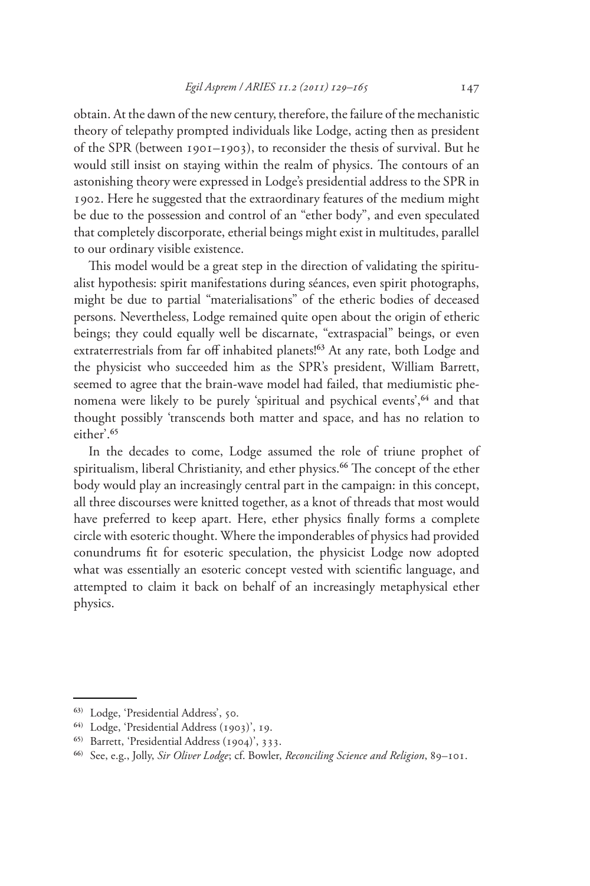obtain. At the dawn of the new century, therefore, the failure of the mechanistic theory of telepathy prompted individuals like Lodge, acting then as president of the SPR (between 1901-1903), to reconsider the thesis of survival. But he would still insist on staying within the realm of physics. The contours of an astonishing theory were expressed in Lodge's presidential address to the SPR in 1902. Here he suggested that the extraordinary features of the medium might be due to the possession and control of an "ether body", and even speculated that completely discorporate, etherial beings might exist in multitudes, parallel to our ordinary visible existence.

This model would be a great step in the direction of validating the spiritualist hypothesis: spirit manifestations during séances, even spirit photographs, might be due to partial "materialisations" of the etheric bodies of deceased persons. Nevertheless, Lodge remained quite open about the origin of etheric beings; they could equally well be discarnate, "extraspacial" beings, or even extraterrestrials from far off inhabited planets!<sup>63</sup> At any rate, both Lodge and the physicist who succeeded him as the SPR's president, William Barrett, seemed to agree that the brain-wave model had failed, that mediumistic phenomena were likely to be purely 'spiritual and psychical events', <sup>64</sup> and that thought possibly 'transcends both matter and space, and has no relation to either'.<sup>65</sup>

In the decades to come, Lodge assumed the role of triune prophet of spiritualism, liberal Christianity, and ether physics.<sup>66</sup> The concept of the ether body would play an increasingly central part in the campaign: in this concept, all three discourses were knitted together, as a knot of threads that most would have preferred to keep apart. Here, ether physics finally forms a complete circle with esoteric thought. Where the imponderables of physics had provided conundrums fit for esoteric speculation, the physicist Lodge now adopted what was essentially an esoteric concept vested with scientific language, and attempted to claim it back on behalf of an increasingly metaphysical ether physics.

<sup>&</sup>lt;sup>63)</sup> Lodge, 'Presidential Address', 50.

<sup>&</sup>lt;sup>64)</sup> Lodge, 'Presidential Address (1903)', 19.

<sup>&</sup>lt;sup>65)</sup> Barrett, 'Presidential Address (1904)', 333.

See, e.g., Jolly, Sir Oliver Lodge; cf. Bowler, Reconciling Science and Religion, 89-101. 66)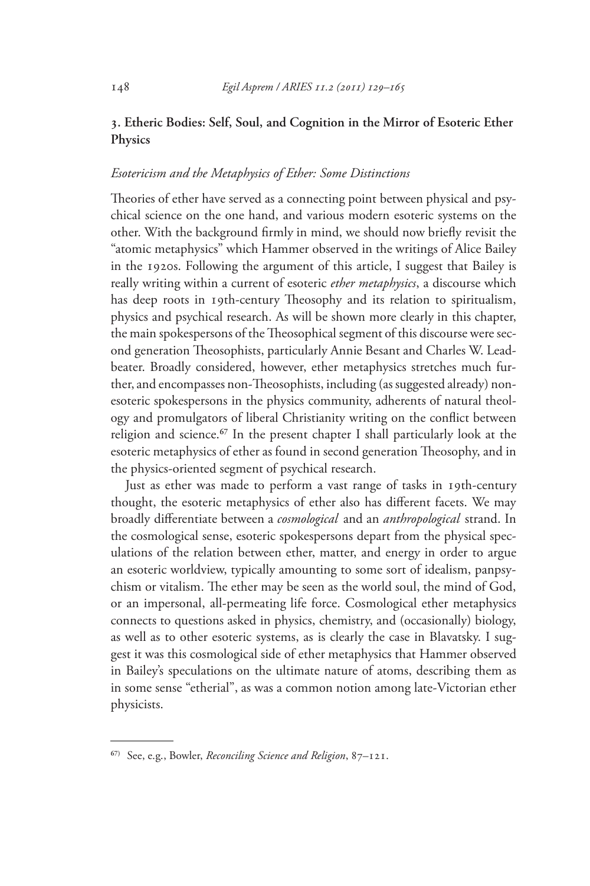# 3. Etheric Bodies: Self, Soul, and Cognition in the Mirror of Esoteric Ether Physics

## Esotericism and the Metaphysics of Ether: Some Distinctions

Theories of ether have served as a connecting point between physical and psychical science on the one hand, and various modern esoteric systems on the other. With the background firmly in mind, we should now briefly revisit the "atomic metaphysics" which Hammer observed in the writings of Alice Bailey in the 1920s. Following the argument of this article, I suggest that Bailey is really writing within a current of esoteric ether metaphysics, a discourse which has deep roots in 19th-century Theosophy and its relation to spiritualism, physics and psychical research. As will be shown more clearly in this chapter, the main spokespersons of the Theosophical segment of this discourse were second generation Theosophists, particularly Annie Besant and Charles W. Leadbeater. Broadly considered, however, ether metaphysics stretches much further, and encompasses non-Theosophists, including (as suggested already) nonesoteric spokespersons in the physics community, adherents of natural theology and promulgators of liberal Christianity writing on the conflict between religion and science.<sup>67</sup> In the present chapter I shall particularly look at the esoteric metaphysics of ether as found in second generation Theosophy, and in the physics-oriented segment of psychical research.

Just as ether was made to perform a vast range of tasks in 19th-century thought, the esoteric metaphysics of ether also has different facets. We may broadly differentiate between a cosmological and an anthropological strand. In the cosmological sense, esoteric spokespersons depart from the physical speculations of the relation between ether, matter, and energy in order to argue an esoteric worldview, typically amounting to some sort of idealism, panpsychism or vitalism. The ether may be seen as the world soul, the mind of God, or an impersonal, all-permeating life force. Cosmological ether metaphysics connects to questions asked in physics, chemistry, and (occasionally) biology, as well as to other esoteric systems, as is clearly the case in Blavatsky. I suggest it was this cosmological side of ether metaphysics that Hammer observed in Bailey's speculations on the ultimate nature of atoms, describing them as in some sense "etherial", as was a common notion among late-Victorian ether physicists.

<sup>67)</sup> See, e.g., Bowler, Reconciling Science and Religion, 87-121.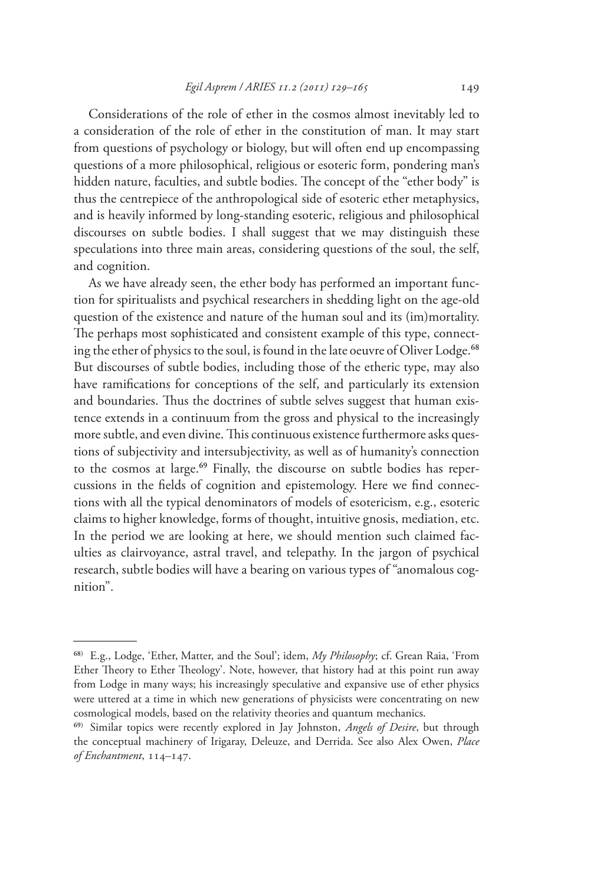Considerations of the role of ether in the cosmos almost inevitably led to a consideration of the role of ether in the constitution of man. It may start from questions of psychology or biology, but will often end up encompassing questions of a more philosophical, religious or esoteric form, pondering man's hidden nature, faculties, and subtle bodies. The concept of the "ether body" is thus the centrepiece of the anthropological side of esoteric ether metaphysics, and is heavily informed by long-standing esoteric, religious and philosophical discourses on subtle bodies. I shall suggest that we may distinguish these speculations into three main areas, considering questions of the soul, the self, and cognition.

As we have already seen, the ether body has performed an important function for spiritualists and psychical researchers in shedding light on the age-old question of the existence and nature of the human soul and its (im)mortality. The perhaps most sophisticated and consistent example of this type, connecting the ether of physics to the soul, is found in the late oeuvre of Oliver Lodge.<sup>68</sup> But discourses of subtle bodies, including those of the etheric type, may also have ramifications for conceptions of the self, and particularly its extension and boundaries. Thus the doctrines of subtle selves suggest that human existence extends in a continuum from the gross and physical to the increasingly more subtle, and even divine. This continuous existence furthermore asks questions of subjectivity and intersubjectivity, as well as of humanity's connection to the cosmos at large.<sup>69</sup> Finally, the discourse on subtle bodies has repercussions in the fields of cognition and epistemology. Here we find connections with all the typical denominators of models of esotericism, e.g., esoteric claims to higher knowledge, forms of thought, intuitive gnosis, mediation, etc. In the period we are looking at here, we should mention such claimed faculties as clairvoyance, astral travel, and telepathy. In the jargon of psychical research, subtle bodies will have a bearing on various types of "anomalous cognition"

<sup>&</sup>lt;sup>68)</sup> E.g., Lodge, 'Ether, Matter, and the Soul'; idem, My Philosophy; cf. Grean Raia, 'From Ether Theory to Ether Theology'. Note, however, that history had at this point run away from Lodge in many ways; his increasingly speculative and expansive use of ether physics were uttered at a time in which new generations of physicists were concentrating on new cosmological models, based on the relativity theories and quantum mechanics.

<sup>&</sup>lt;sup>69)</sup> Similar topics were recently explored in Jay Johnston, Angels of Desire, but through the conceptual machinery of Irigaray, Deleuze, and Derrida. See also Alex Owen, Place of Enchantment, 114-147.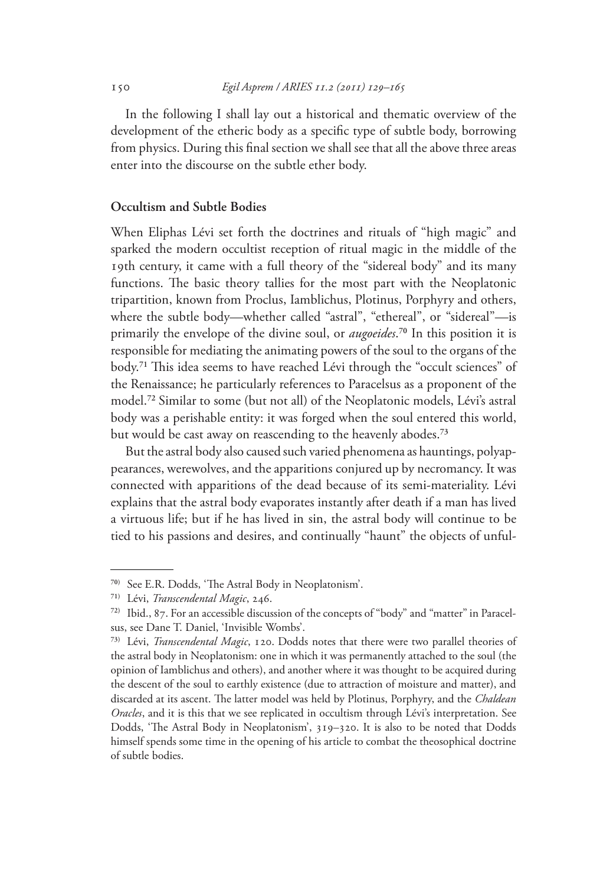In the following I shall lay out a historical and thematic overview of the development of the etheric body as a specific type of subtle body, borrowing from physics. During this final section we shall see that all the above three areas enter into the discourse on the subtle ether body.

#### Occultism and Subtle Bodies

When Eliphas Lévi set forth the doctrines and rituals of "high magic" and sparked the modern occultist reception of ritual magic in the middle of the 19th century, it came with a full theory of the "sidereal body" and its many functions. The basic theory tallies for the most part with the Neoplatonic tripartition, known from Proclus, Iamblichus, Plotinus, Porphyry and others, where the subtle body-whether called "astral", "ethereal", or "sidereal"-is primarily the envelope of the divine soul, or *augoeides*.<sup>70</sup> In this position it is responsible for mediating the animating powers of the soul to the organs of the body.<sup>71</sup> This idea seems to have reached Lévi through the "occult sciences" of the Renaissance; he particularly references to Paracelsus as a proponent of the model.<sup>72</sup> Similar to some (but not all) of the Neoplatonic models, Lévi's astral body was a perishable entity: it was forged when the soul entered this world, but would be cast away on reascending to the heavenly abodes.<sup>73</sup>

But the astral body also caused such varied phenomena as hauntings, polyappearances, werewolves, and the apparitions conjured up by necromancy. It was connected with apparitions of the dead because of its semi-materiality. Lévi explains that the astral body evaporates instantly after death if a man has lived a virtuous life; but if he has lived in sin, the astral body will continue to be tied to his passions and desires, and continually "haunt" the objects of unful-

<sup>&</sup>lt;sup>70)</sup> See E.R. Dodds, 'The Astral Body in Neoplatonism'.

<sup>&</sup>lt;sup>71)</sup> Lévi, Transcendental Magic, 246.

<sup>72)</sup> Ibid., 87. For an accessible discussion of the concepts of "body" and "matter" in Paracelsus, see Dane T. Daniel, 'Invisible Wombs'.

<sup>73)</sup> Lévi, Transcendental Magic, 120. Dodds notes that there were two parallel theories of the astral body in Neoplatonism: one in which it was permanently attached to the soul (the opinion of Iamblichus and others), and another where it was thought to be acquired during the descent of the soul to earthly existence (due to attraction of moisture and matter), and discarded at its ascent. The latter model was held by Plotinus, Porphyry, and the Chaldean Oracles, and it is this that we see replicated in occultism through Lévi's interpretation. See Dodds, 'The Astral Body in Neoplatonism', 319-320. It is also to be noted that Dodds himself spends some time in the opening of his article to combat the theosophical doctrine of subtle bodies.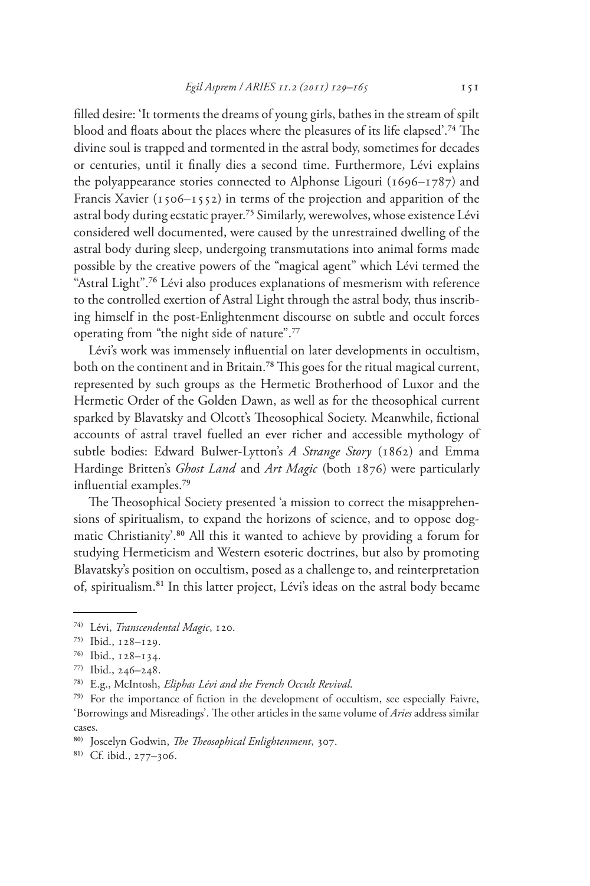filled desire: 'It torments the dreams of young girls, bathes in the stream of spilt blood and floats about the places where the pleasures of its life elapsed'.<sup>74</sup> The divine soul is trapped and tormented in the astral body, sometimes for decades or centuries, until it finally dies a second time. Furthermore, Lévi explains the polyappearance stories connected to Alphonse Ligouri ( $1696-1787$ ) and Francis Xavier ( $1506 - 1552$ ) in terms of the projection and apparition of the astral body during ecstatic prayer.<sup>75</sup> Similarly, werewolves, whose existence Lévi considered well documented, were caused by the unrestrained dwelling of the astral body during sleep, undergoing transmutations into animal forms made possible by the creative powers of the "magical agent" which Lévi termed the "Astral Light".<sup>76</sup> Lévi also produces explanations of mesmerism with reference to the controlled exertion of Astral Light through the astral body, thus inscribing himself in the post-Enlightenment discourse on subtle and occult forces operating from "the night side of nature".<sup>77</sup>

Lévi's work was immensely influential on later developments in occultism, both on the continent and in Britain.<sup>78</sup> This goes for the ritual magical current, represented by such groups as the Hermetic Brotherhood of Luxor and the Hermetic Order of the Golden Dawn, as well as for the theosophical current sparked by Blavatsky and Olcott's Theosophical Society. Meanwhile, fictional accounts of astral travel fuelled an ever richer and accessible mythology of subtle bodies: Edward Bulwer-Lytton's A Strange Story (1862) and Emma Hardinge Britten's Ghost Land and Art Magic (both 1876) were particularly influential examples.<sup>79</sup>

The Theosophical Society presented 'a mission to correct the misapprehensions of spiritualism, to expand the horizons of science, and to oppose dogmatic Christianity'.<sup>80</sup> All this it wanted to achieve by providing a forum for studying Hermeticism and Western esoteric doctrines, but also by promoting Blavatsky's position on occultism, posed as a challenge to, and reinterpretation of, spiritualism.<sup>81</sup> In this latter project, Lévi's ideas on the astral body became

80) Joscelyn Godwin, The Theosophical Enlightenment, 307.

81) Cf. ibid., 277-306.

<sup>74)</sup> Lévi, Transcendental Magic, 120.

<sup>75)</sup> Ibid., 128-129.

<sup>76)</sup> Ibid., 128-134.

<sup>77)</sup> Ibid., 246-248.

<sup>78)</sup> E.g., McIntosh, Eliphas Lévi and the French Occult Revival.

<sup>79)</sup> For the importance of fiction in the development of occultism, see especially Faivre, 'Borrowings and Misreadings'. The other articles in the same volume of Aries address similar cases.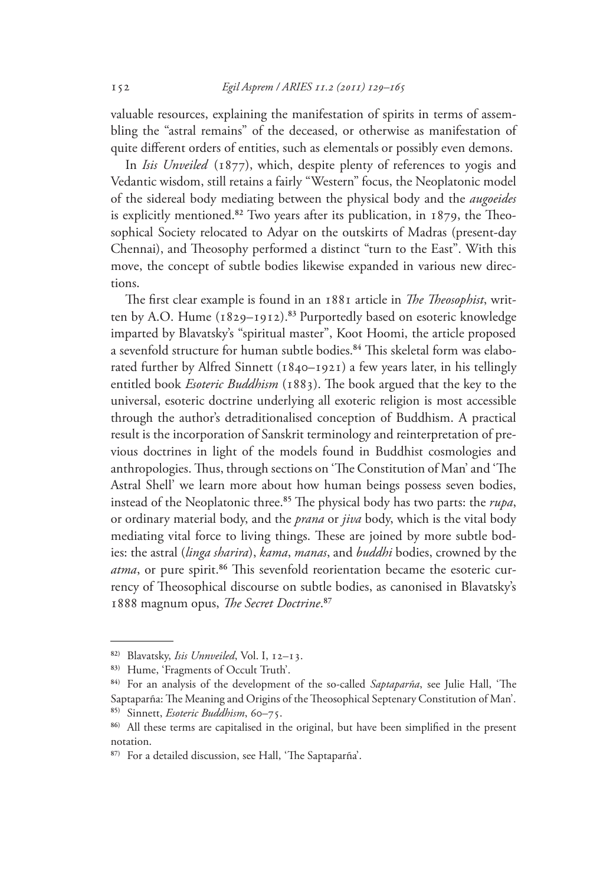valuable resources, explaining the manifestation of spirits in terms of assembling the "astral remains" of the deceased, or otherwise as manifestation of quite different orders of entities, such as elementals or possibly even demons.

In *Isis Unveiled* (1877), which, despite plenty of references to yogis and Vedantic wisdom, still retains a fairly "Western" focus, the Neoplatonic model of the sidereal body mediating between the physical body and the augoeides is explicitly mentioned.<sup>82</sup> Two years after its publication, in  $1879$ , the Theosophical Society relocated to Adyar on the outskirts of Madras (present-day Chennai), and Theosophy performed a distinct "turn to the East". With this move, the concept of subtle bodies likewise expanded in various new directions.

The first clear example is found in an 1881 article in The Theosophist, written by A.O. Hume (1829-1912).<sup>83</sup> Purportedly based on esoteric knowledge imparted by Blavatsky's "spiritual master", Koot Hoomi, the article proposed a sevenfold structure for human subtle bodies.<sup>84</sup> This skeletal form was elaborated further by Alfred Sinnett (1840–1921) a few years later, in his tellingly entitled book *Esoteric Buddhism* (1883). The book argued that the key to the universal, esoteric doctrine underlying all exoteric religion is most accessible through the author's detraditionalised conception of Buddhism. A practical result is the incorporation of Sanskrit terminology and reinterpretation of previous doctrines in light of the models found in Buddhist cosmologies and anthropologies. Thus, through sections on 'The Constitution of Man' and 'The Astral Shell' we learn more about how human beings possess seven bodies, instead of the Neoplatonic three.<sup>85</sup> The physical body has two parts: the rupa, or ordinary material body, and the *prana* or jiva body, which is the vital body mediating vital force to living things. These are joined by more subtle bodies: the astral (linga sharira), kama, manas, and buddhi bodies, crowned by the atma, or pure spirit.<sup>86</sup> This sevenfold reorientation became the esoteric currency of Theosophical discourse on subtle bodies, as canonised in Blavatsky's 1888 magnum opus, The Secret Doctrine.87

<sup>&</sup>lt;sup>82)</sup> Blavatsky, *Isis Unnveiled*, Vol. I, 12-13.

<sup>83)</sup> Hume, 'Fragments of Occult Truth'.

<sup>84)</sup> For an analysis of the development of the so-called Saptaparña, see Julie Hall, 'The Saptaparña: The Meaning and Origins of the Theosophical Septenary Constitution of Man'. 85) Sinnett, *Esoteric Buddhism*, 60-75.

<sup>86)</sup> All these terms are capitalised in the original, but have been simplified in the present notation.

<sup>87)</sup> For a detailed discussion, see Hall, 'The Saptaparña'.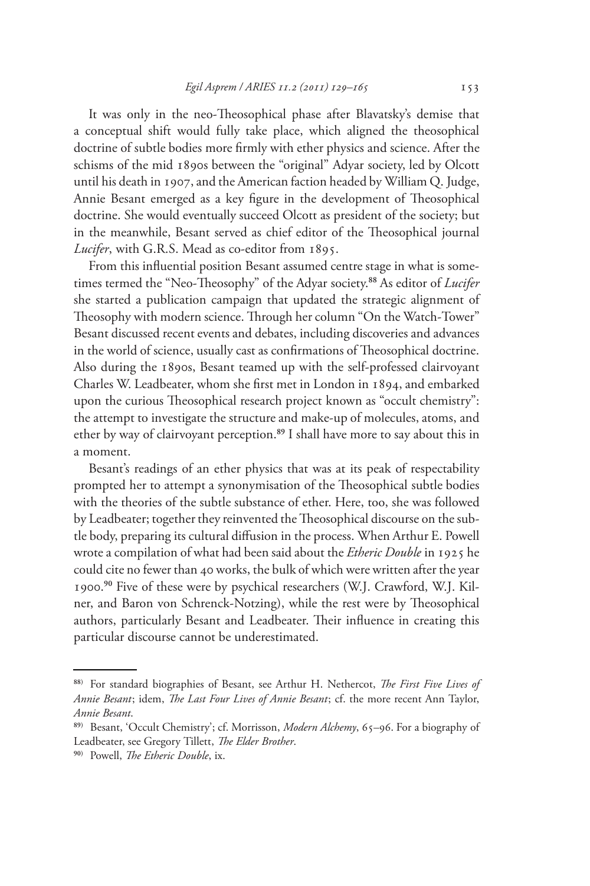It was only in the neo-Theosophical phase after Blavatsky's demise that a conceptual shift would fully take place, which aligned the theosophical doctrine of subtle bodies more firmly with ether physics and science. After the schisms of the mid 1890s between the "original" Adyar society, led by Olcott until his death in 1907, and the American faction headed by William Q. Judge, Annie Besant emerged as a key figure in the development of Theosophical doctrine. She would eventually succeed Olcott as president of the society; but in the meanwhile, Besant served as chief editor of the Theosophical journal Lucifer, with G.R.S. Mead as co-editor from 1895.

From this influential position Besant assumed centre stage in what is sometimes termed the "Neo-Theosophy" of the Adyar society.<sup>88</sup> As editor of Lucifer she started a publication campaign that updated the strategic alignment of Theosophy with modern science. Through her column "On the Watch-Tower" Besant discussed recent events and debates, including discoveries and advances in the world of science, usually cast as confirmations of Theosophical doctrine. Also during the 1890s, Besant teamed up with the self-professed clairvoyant Charles W. Leadbeater, whom she first met in London in 1894, and embarked upon the curious Theosophical research project known as "occult chemistry": the attempt to investigate the structure and make-up of molecules, atoms, and ether by way of clairvoyant perception.<sup>89</sup> I shall have more to say about this in a moment.

Besant's readings of an ether physics that was at its peak of respectability prompted her to attempt a synonymisation of the Theosophical subtle bodies with the theories of the subtle substance of ether. Here, too, she was followed by Leadbeater; together they reinvented the Theosophical discourse on the subtle body, preparing its cultural diffusion in the process. When Arthur E. Powell wrote a compilation of what had been said about the *Etheric Double* in 1925 he could cite no fewer than 40 works, the bulk of which were written after the year 1900.<sup>90</sup> Five of these were by psychical researchers (W.J. Crawford, W.J. Kilner, and Baron von Schrenck-Notzing), while the rest were by Theosophical authors, particularly Besant and Leadbeater. Their influence in creating this particular discourse cannot be underestimated.

<sup>88)</sup> For standard biographies of Besant, see Arthur H. Nethercot, The First Five Lives of Annie Besant; idem, The Last Four Lives of Annie Besant; cf. the more recent Ann Taylor, Annie Besant.

<sup>89)</sup> Besant, 'Occult Chemistry'; cf. Morrisson, Modern Alchemy, 65-96. For a biography of Leadbeater, see Gregory Tillett, The Elder Brother.

<sup>&</sup>lt;sup>90)</sup> Powell, *The Etheric Double*, ix.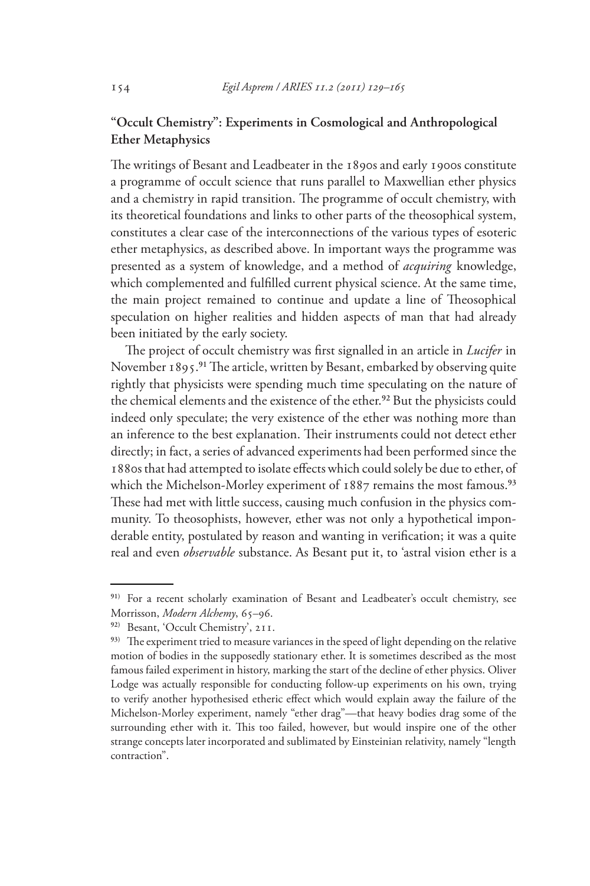# "Occult Chemistry": Experiments in Cosmological and Anthropological **Ether Metaphysics**

The writings of Besant and Leadbeater in the 1890s and early 1900s constitute a programme of occult science that runs parallel to Maxwellian ether physics and a chemistry in rapid transition. The programme of occult chemistry, with its theoretical foundations and links to other parts of the theosophical system, constitutes a clear case of the interconnections of the various types of esoteric ether metaphysics, as described above. In important ways the programme was presented as a system of knowledge, and a method of *acquiring* knowledge, which complemented and fulfilled current physical science. At the same time, the main project remained to continue and update a line of Theosophical speculation on higher realities and hidden aspects of man that had already been initiated by the early society.

The project of occult chemistry was first signalled in an article in *Lucifer* in November 1895.<sup>91</sup> The article, written by Besant, embarked by observing quite rightly that physicists were spending much time speculating on the nature of the chemical elements and the existence of the ether.<sup>92</sup> But the physicists could indeed only speculate; the very existence of the ether was nothing more than an inference to the best explanation. Their instruments could not detect ether directly; in fact, a series of advanced experiments had been performed since the 1880s that had attempted to isolate effects which could solely be due to ether, of which the Michelson-Morley experiment of 1887 remains the most famous.<sup>93</sup> These had met with little success, causing much confusion in the physics community. To theosophists, however, ether was not only a hypothetical imponderable entity, postulated by reason and wanting in verification; it was a quite real and even *observable* substance. As Besant put it, to 'astral vision ether is a

<sup>91)</sup> For a recent scholarly examination of Besant and Leadbeater's occult chemistry, see Morrisson, Modern Alchemy, 65-96.

<sup>&</sup>lt;sup>92)</sup> Besant, 'Occult Chemistry', 211.

<sup>93)</sup> The experiment tried to measure variances in the speed of light depending on the relative motion of bodies in the supposedly stationary ether. It is sometimes described as the most famous failed experiment in history, marking the start of the decline of ether physics. Oliver Lodge was actually responsible for conducting follow-up experiments on his own, trying to verify another hypothesised etheric effect which would explain away the failure of the Michelson-Morley experiment, namely "ether drag"-that heavy bodies drag some of the surrounding ether with it. This too failed, however, but would inspire one of the other strange concepts later incorporated and sublimated by Einsteinian relativity, namely "length contraction".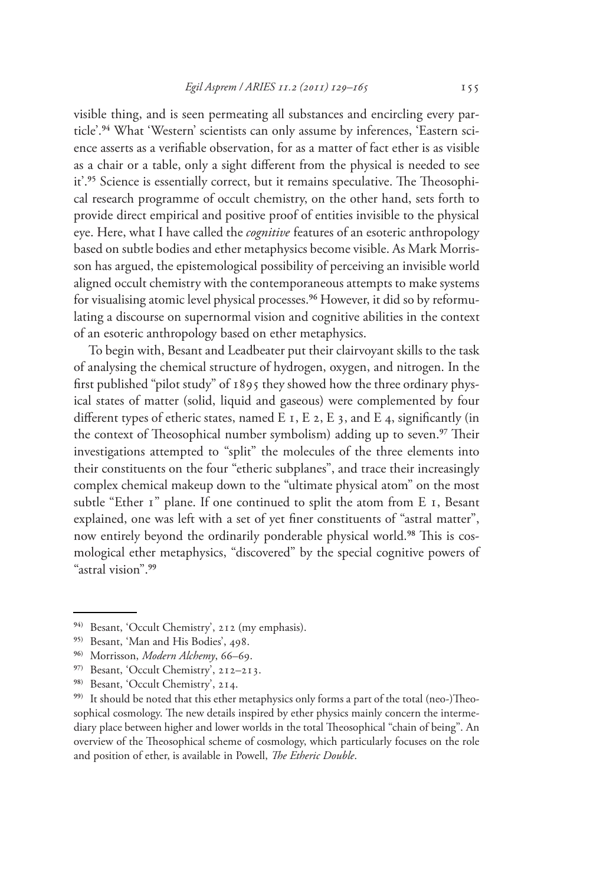visible thing, and is seen permeating all substances and encircling every particle'.<sup>94</sup> What 'Western' scientists can only assume by inferences, 'Eastern science asserts as a verifiable observation, for as a matter of fact ether is as visible as a chair or a table, only a sight different from the physical is needed to see it'.95 Science is essentially correct, but it remains speculative. The Theosophical research programme of occult chemistry, on the other hand, sets forth to provide direct empirical and positive proof of entities invisible to the physical eye. Here, what I have called the *cognitive* features of an esoteric anthropology based on subtle bodies and ether metaphysics become visible. As Mark Morrisson has argued, the epistemological possibility of perceiving an invisible world aligned occult chemistry with the contemporaneous attempts to make systems for visualising atomic level physical processes.<sup>96</sup> However, it did so by reformulating a discourse on supernormal vision and cognitive abilities in the context of an esoteric anthropology based on ether metaphysics.

To begin with, Besant and Leadbeater put their clairvoyant skills to the task of analysing the chemical structure of hydrogen, oxygen, and nitrogen. In the first published "pilot study" of 1895 they showed how the three ordinary physical states of matter (solid, liquid and gaseous) were complemented by four different types of etheric states, named E I, E 2, E 3, and E 4, significantly (in the context of Theosophical number symbolism) adding up to seven.<sup>97</sup> Their investigations attempted to "split" the molecules of the three elements into their constituents on the four "etheric subplanes", and trace their increasingly complex chemical makeup down to the "ultimate physical atom" on the most subtle "Ether I" plane. If one continued to split the atom from E<sub>I</sub>, Besant explained, one was left with a set of yet finer constituents of "astral matter", now entirely beyond the ordinarily ponderable physical world.<sup>98</sup> This is cosmological ether metaphysics, "discovered" by the special cognitive powers of "astral vision".99

<sup>&</sup>lt;sup>94)</sup> Besant, 'Occult Chemistry', 212 (my emphasis).

<sup>&</sup>lt;sup>95)</sup> Besant, 'Man and His Bodies', 498.

<sup>&</sup>lt;sup>96)</sup> Morrisson, Modern Alchemy, 66–69.

<sup>97)</sup> Besant, 'Occult Chemistry', 212-213.

<sup>98)</sup> Besant, 'Occult Chemistry', 214.

It should be noted that this ether metaphysics only forms a part of the total (neo-)Theo-99) sophical cosmology. The new details inspired by ether physics mainly concern the intermediary place between higher and lower worlds in the total Theosophical "chain of being". An overview of the Theosophical scheme of cosmology, which particularly focuses on the role and position of ether, is available in Powell, The Etheric Double.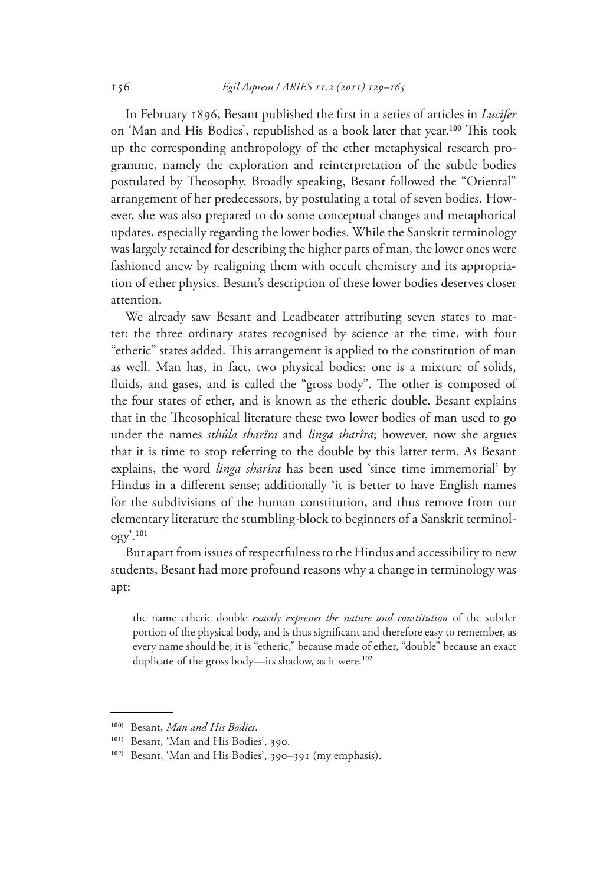In February 1896, Besant published the first in a series of articles in *Lucifer* on 'Man and His Bodies', republished as a book later that year.<sup>100</sup> This took up the corresponding anthropology of the ether metaphysical research programme, namely the exploration and reinterpretation of the subtle bodies postulated by Theosophy. Broadly speaking, Besant followed the "Oriental" arrangement of her predecessors, by postulating a total of seven bodies. However, she was also prepared to do some conceptual changes and metaphorical updates, especially regarding the lower bodies. While the Sanskrit terminology was largely retained for describing the higher parts of man, the lower ones were fashioned anew by realigning them with occult chemistry and its appropriation of ether physics. Besant's description of these lower bodies deserves closer attention

We already saw Besant and Leadbeater attributing seven states to matter: the three ordinary states recognised by science at the time, with four "etheric" states added. This arrangement is applied to the constitution of man as well. Man has, in fact, two physical bodies: one is a mixture of solids, fluids, and gases, and is called the "gross body". The other is composed of the four states of ether, and is known as the etheric double. Besant explains that in the Theosophical literature these two lower bodies of man used to go under the names sthûla sharîra and linga sharîra; however, now she argues that it is time to stop referring to the double by this latter term. As Besant explains, the word linga sharira has been used 'since time immemorial' by Hindus in a different sense; additionally 'it is better to have English names for the subdivisions of the human constitution, and thus remove from our elementary literature the stumbling-block to beginners of a Sanskrit terminol- $Ogy^{3.101}$ 

But apart from issues of respectfulness to the Hindus and accessibility to new students, Besant had more profound reasons why a change in terminology was apt:

the name etheric double exactly expresses the nature and constitution of the subtler portion of the physical body, and is thus significant and therefore easy to remember, as every name should be; it is "etheric," because made of ether, "double" because an exact duplicate of the gross body—its shadow, as it were.<sup>102</sup>

<sup>&</sup>lt;sup>100)</sup> Besant, Man and His Bodies.

<sup>&</sup>lt;sup>101)</sup> Besant, 'Man and His Bodies', 390.

 $102)$ Besant, 'Man and His Bodies', 390-391 (my emphasis).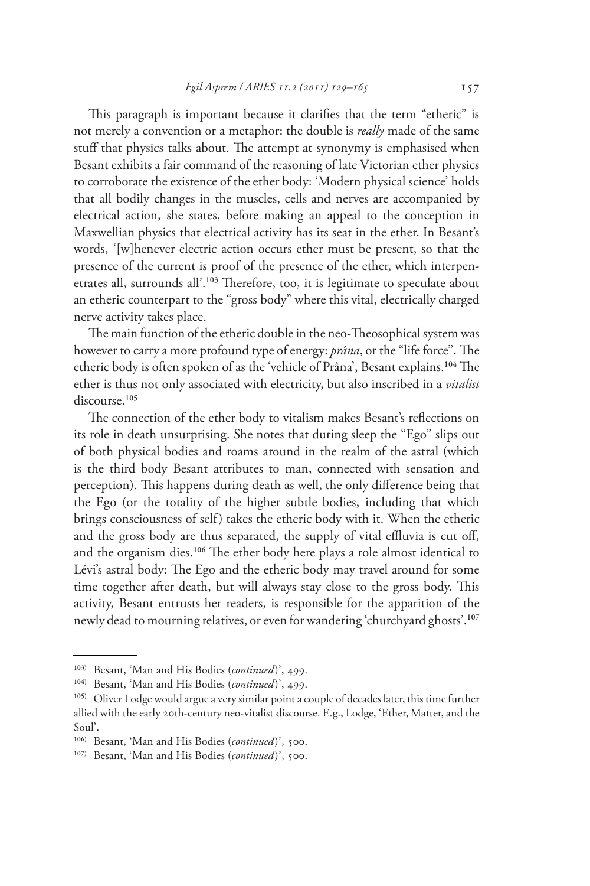This paragraph is important because it clarifies that the term "etheric" is not merely a convention or a metaphor: the double is *really* made of the same stuff that physics talks about. The attempt at synonymy is emphasised when Besant exhibits a fair command of the reasoning of late Victorian ether physics to corroborate the existence of the ether body: 'Modern physical science' holds that all bodily changes in the muscles, cells and nerves are accompanied by electrical action, she states, before making an appeal to the conception in Maxwellian physics that electrical activity has its seat in the ether. In Besant's words, '[w]henever electric action occurs ether must be present, so that the presence of the current is proof of the presence of the ether, which interpenetrates all, surrounds all'.<sup>103</sup> Therefore, too, it is legitimate to speculate about an etheric counterpart to the "gross body" where this vital, electrically charged nerve activity takes place.

The main function of the etheric double in the neo-Theosophical system was however to carry a more profound type of energy: *prâna*, or the "life force". The etheric body is often spoken of as the 'vehicle of Prâna', Besant explains.<sup>104</sup> The ether is thus not only associated with electricity, but also inscribed in a *vitalist* discourse.<sup>105</sup>

The connection of the ether body to vitalism makes Besant's reflections on its role in death unsurprising. She notes that during sleep the "Ego" slips out of both physical bodies and roams around in the realm of the astral (which is the third body Besant attributes to man, connected with sensation and perception). This happens during death as well, the only difference being that the Ego (or the totality of the higher subtle bodies, including that which brings consciousness of self) takes the etheric body with it. When the etheric and the gross body are thus separated, the supply of vital effluvia is cut off, and the organism dies.<sup>106</sup> The ether body here plays a role almost identical to Lévi's astral body: The Ego and the etheric body may travel around for some time together after death, but will always stay close to the gross body. This activity, Besant entrusts her readers, is responsible for the apparition of the newly dead to mourning relatives, or even for wandering 'churchyard ghosts'.<sup>107</sup>

<sup>&</sup>lt;sup>103)</sup> Besant, 'Man and His Bodies (continued)', 499.

<sup>&</sup>lt;sup>104)</sup> Besant, 'Man and His Bodies (continued)', 499.

<sup>105)</sup> Oliver Lodge would argue a very similar point a couple of decades later, this time further allied with the early 20th-century neo-vitalist discourse. E.g., Lodge, 'Ether, Matter, and the Soul'.

<sup>&</sup>lt;sup>106)</sup> Besant, 'Man and His Bodies (continued)', 500.

<sup>&</sup>lt;sup>107)</sup> Besant, 'Man and His Bodies (continued)', 500.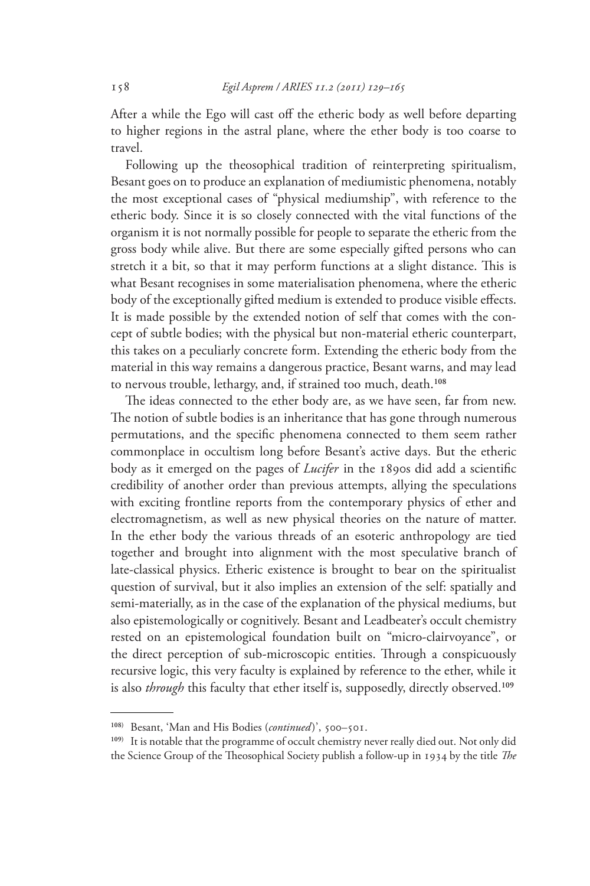After a while the Ego will cast off the etheric body as well before departing to higher regions in the astral plane, where the ether body is too coarse to travel.

Following up the theosophical tradition of reinterpreting spiritualism, Besant goes on to produce an explanation of mediumistic phenomena, notably the most exceptional cases of "physical mediumship", with reference to the etheric body. Since it is so closely connected with the vital functions of the organism it is not normally possible for people to separate the etheric from the gross body while alive. But there are some especially gifted persons who can stretch it a bit, so that it may perform functions at a slight distance. This is what Besant recognises in some materialisation phenomena, where the etheric body of the exceptionally gifted medium is extended to produce visible effects. It is made possible by the extended notion of self that comes with the concept of subtle bodies; with the physical but non-material etheric counterpart, this takes on a peculiarly concrete form. Extending the etheric body from the material in this way remains a dangerous practice, Besant warns, and may lead to nervous trouble, lethargy, and, if strained too much, death.<sup>108</sup>

The ideas connected to the ether body are, as we have seen, far from new. The notion of subtle bodies is an inheritance that has gone through numerous permutations, and the specific phenomena connected to them seem rather commonplace in occultism long before Besant's active days. But the etheric body as it emerged on the pages of *Lucifer* in the 1890s did add a scientific credibility of another order than previous attempts, allying the speculations with exciting frontline reports from the contemporary physics of ether and electromagnetism, as well as new physical theories on the nature of matter. In the ether body the various threads of an esoteric anthropology are tied together and brought into alignment with the most speculative branch of late-classical physics. Etheric existence is brought to bear on the spiritualist question of survival, but it also implies an extension of the self: spatially and semi-materially, as in the case of the explanation of the physical mediums, but also epistemologically or cognitively. Besant and Leadbeater's occult chemistry rested on an epistemological foundation built on "micro-clairvoyance", or the direct perception of sub-microscopic entities. Through a conspicuously recursive logic, this very faculty is explained by reference to the ether, while it is also through this faculty that ether itself is, supposedly, directly observed.<sup>109</sup>

<sup>&</sup>lt;sup>108)</sup> Besant, 'Man and His Bodies (continued)', 500-501.

<sup>&</sup>lt;sup>109)</sup> It is notable that the programme of occult chemistry never really died out. Not only did the Science Group of the Theosophical Society publish a follow-up in 1934 by the title The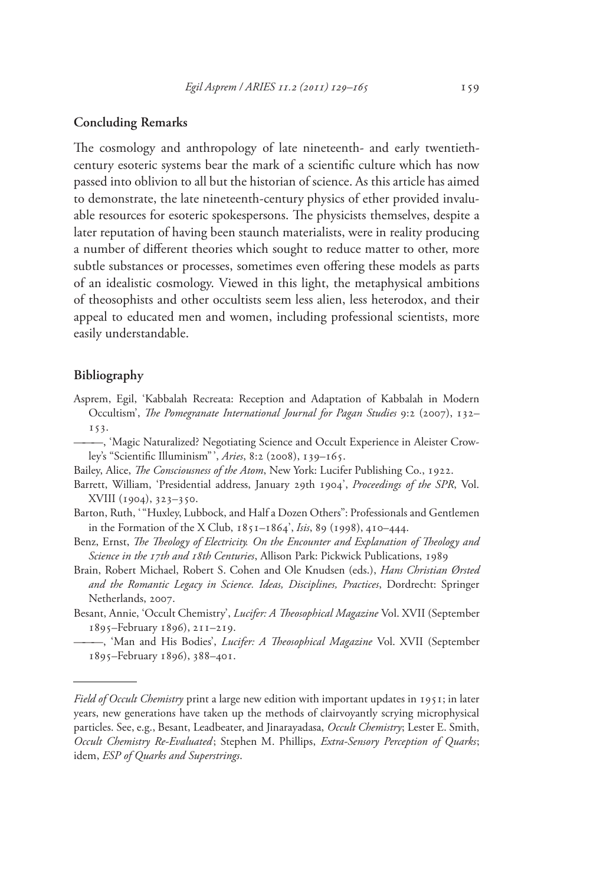#### **Concluding Remarks**

The cosmology and anthropology of late nineteenth- and early twentiethcentury esoteric systems bear the mark of a scientific culture which has now passed into oblivion to all but the historian of science. As this article has aimed to demonstrate, the late nineteenth-century physics of ether provided invaluable resources for esoteric spokespersons. The physicists themselves, despite a later reputation of having been staunch materialists, were in reality producing a number of different theories which sought to reduce matter to other, more subtle substances or processes, sometimes even offering these models as parts of an idealistic cosmology. Viewed in this light, the metaphysical ambitions of theosophists and other occultists seem less alien, less heterodox, and their appeal to educated men and women, including professional scientists, more easily understandable.

#### Bibliography

- Asprem, Egil, 'Kabbalah Recreata: Reception and Adaptation of Kabbalah in Modern Occultism', The Pomegranate International Journal for Pagan Studies 9:2 (2007), 132- $153.$
- - , 'Magic Naturalized? Negotiating Science and Occult Experience in Aleister Crowley's "Scientific Illuminism"', Aries, 8:2 (2008), 139-165.
- Bailey, Alice, *The Consciousness of the Atom*, New York: Lucifer Publishing Co., 1922.
- Barrett, William, 'Presidential address, January 29th 1904', Proceedings of the SPR, Vol. XVIII (1904), 323-350.
- Barton, Ruth, "Huxley, Lubbock, and Half a Dozen Others": Professionals and Gentlemen in the Formation of the X Club, 1851-1864', Isis, 89 (1998), 410-444.
- Benz, Ernst, The Theology of Electricity. On the Encounter and Explanation of Theology and Science in the 17th and 18th Centuries, Allison Park: Pickwick Publications, 1989
- Brain, Robert Michael, Robert S. Cohen and Ole Knudsen (eds.), Hans Christian Ørsted and the Romantic Legacy in Science. Ideas, Disciplines, Practices, Dordrecht: Springer Netherlands, 2007.
- Besant, Annie, 'Occult Chemistry', Lucifer: A Theosophical Magazine Vol. XVII (September 1895-February 1896), 211-219.
- - , 'Man and His Bodies', Lucifer: A Theosophical Magazine Vol. XVII (September 1895-February 1896), 388-401.

Field of Occult Chemistry print a large new edition with important updates in 1951; in later years, new generations have taken up the methods of clairvoyantly scrying microphysical particles. See, e.g., Besant, Leadbeater, and Jinarayadasa, Occult Chemistry; Lester E. Smith, Occult Chemistry Re-Evaluated; Stephen M. Phillips, Extra-Sensory Perception of Quarks; idem, ESP of Quarks and Superstrings.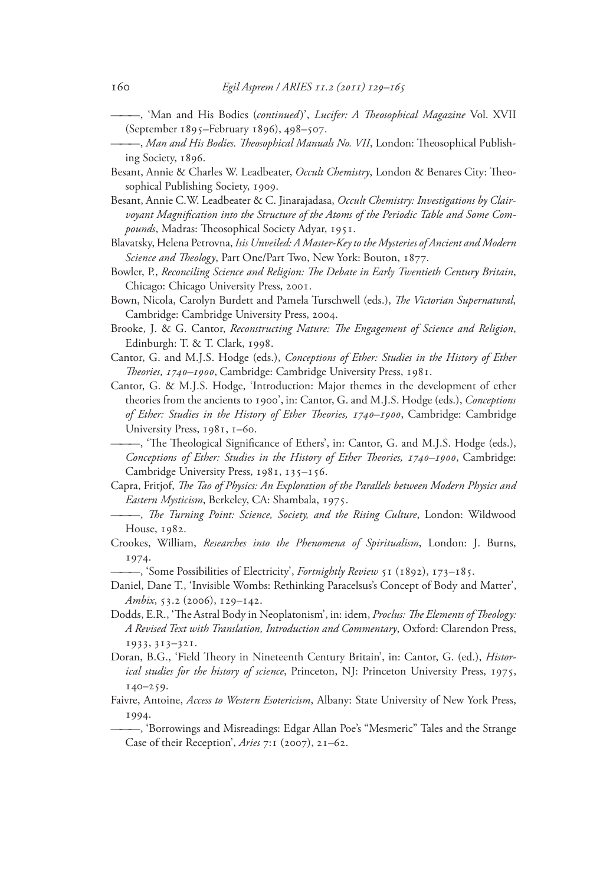- - , 'Man and His Bodies (continued)', Lucifer: A Theosophical Magazine Vol. XVII (September 1895–February 1896), 498–507.
	- -, Man and His Bodies. Theosophical Manuals No. VII, London: Theosophical Publishing Society, 1896.
- Besant, Annie & Charles W. Leadbeater, Occult Chemistry, London & Benares City: Theosophical Publishing Society, 1909.
- Besant, Annie C.W. Leadbeater & C. Jinarajadasa, Occult Chemistry: Investigations by Clairvoyant Magnification into the Structure of the Atoms of the Periodic Table and Some Compounds, Madras: Theosophical Society Adyar, 1951.
- Blavatsky, Helena Petrovna, Isis Unveiled: A Master-Key to the Mysteries of Ancient and Modern Science and Theology, Part One/Part Two, New York: Bouton, 1877.
- Bowler, P., Reconciling Science and Religion: The Debate in Early Twentieth Century Britain, Chicago: Chicago University Press, 2001.
- Bown, Nicola, Carolyn Burdett and Pamela Turschwell (eds.), The Victorian Supernatural, Cambridge: Cambridge University Press, 2004.
- Brooke, J. & G. Cantor, Reconstructing Nature: The Engagement of Science and Religion, Edinburgh: T. & T. Clark, 1998.
- Cantor, G. and M.J.S. Hodge (eds.), Conceptions of Ether: Studies in the History of Ether Theories, 1740-1900, Cambridge: Cambridge University Press, 1981.
- Cantor, G. & M.J.S. Hodge, 'Introduction: Major themes in the development of ether theories from the ancients to 1900', in: Cantor, G. and M.J.S. Hodge (eds.), Conceptions of Ether: Studies in the History of Ether Theories, 1740-1900, Cambridge: Cambridge University Press, 1981, 1-60.
	- -, 'The Theological Significance of Ethers', in: Cantor, G. and M.J.S. Hodge (eds.), Conceptions of Ether: Studies in the History of Ether Theories, 1740–1900, Cambridge: Cambridge University Press, 1981, 135-156.
- Capra, Fritjof, The Tao of Physics: An Exploration of the Parallels between Modern Physics and Eastern Mysticism, Berkeley, CA: Shambala, 1975.
- - The Turning Point: Science, Society, and the Rising Culture, London: Wildwood House, 1982.
- Crookes, William, Researches into the Phenomena of Spiritualism, London: J. Burns, 1974.
- ----, 'Some Possibilities of Electricity', Fortnightly Review 51 (1892), 173–185.
- Daniel, Dane T., 'Invisible Wombs: Rethinking Paracelsus's Concept of Body and Matter', Ambix, 53.2 (2006), 129–142.
- Dodds, E.R., 'The Astral Body in Neoplatonism', in: idem, Proclus: The Elements of Theology: A Revised Text with Translation, Introduction and Commentary, Oxford: Clarendon Press,  $1933, 313 - 321.$
- Doran, B.G., 'Field Theory in Nineteenth Century Britain', in: Cantor, G. (ed.), *Histor*ical studies for the history of science, Princeton, NJ: Princeton University Press, 1975,  $140 - 259$ .
- Faivre, Antoine, Access to Western Esotericism, Albany: State University of New York Press, 1994.
	- —, 'Borrowings and Misreadings: Edgar Allan Poe's "Mesmeric" Tales and the Strange Case of their Reception', Aries 7:1 (2007), 21-62.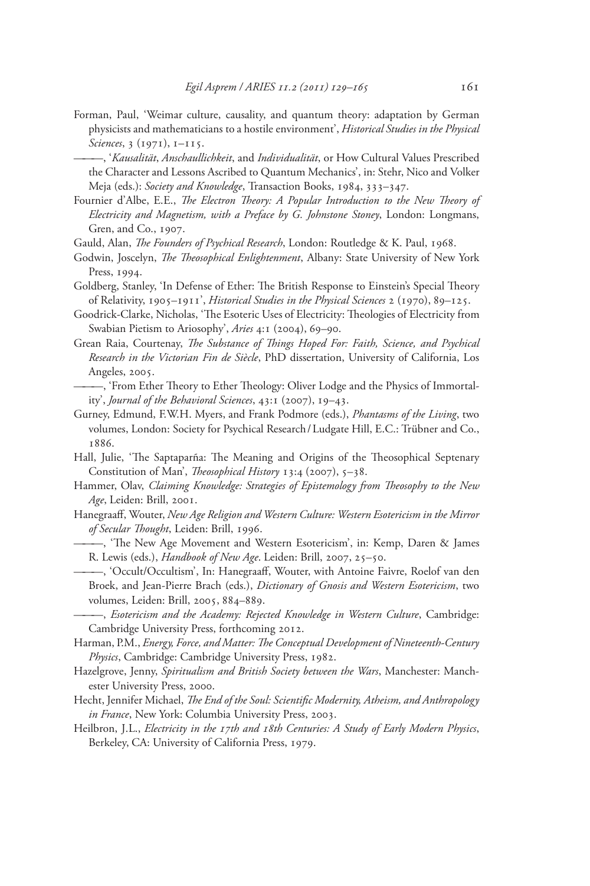- Forman, Paul, 'Weimar culture, causality, and quantum theory: adaptation by German physicists and mathematicians to a hostile environment', Historical Studies in the Physical Sciences, 3 (1971),  $I-I15$ .
	- -, 'Kausalität, Anschaullichkeit, and Individualität, or How Cultural Values Prescribed the Character and Lessons Ascribed to Quantum Mechanics', in: Stehr, Nico and Volker Meja (eds.): Society and Knowledge, Transaction Books, 1984, 333-347.
- Fournier d'Albe, E.E., The Electron Theory: A Popular Introduction to the New Theory of Electricity and Magnetism, with a Preface by G. Johnstone Stoney, London: Longmans, Gren, and Co., 1907.
- Gauld, Alan, The Founders of Psychical Research, London: Routledge & K. Paul, 1968.
- Godwin, Joscelyn, The Theosophical Enlightenment, Albany: State University of New York Press, 1994.
- Goldberg, Stanley, 'In Defense of Ether: The British Response to Einstein's Special Theory of Relativity, 1905-1911', Historical Studies in the Physical Sciences 2 (1970), 89-125.
- Goodrick-Clarke, Nicholas, 'The Esoteric Uses of Electricity: Theologies of Electricity from Swabian Pietism to Ariosophy', Aries 4:1 (2004), 69-90.
- Grean Raia, Courtenay, The Substance of Things Hoped For: Faith, Science, and Psychical Research in the Victorian Fin de Siècle, PhD dissertation, University of California, Los Angeles, 2005.
- From Ether Theory to Ether Theology: Oliver Lodge and the Physics of Immortal ity', Journal of the Behavioral Sciences, 43:1 (2007), 19-43.
- Gurney, Edmund, F.W.H. Myers, and Frank Podmore (eds.), Phantasms of the Living, two volumes, London: Society for Psychical Research / Ludgate Hill, E.C.: Trübner and Co., T886.
- Hall, Julie, 'The Saptaparña: The Meaning and Origins of the Theosophical Septenary Constitution of Man', Theosophical History 13:4 (2007), 5-38.
- Hammer, Olav, Claiming Knowledge: Strategies of Epistemology from Theosophy to the New Age, Leiden: Brill, 2001.
- Hanegraaff, Wouter, New Age Religion and Western Culture: Western Esotericism in the Mirror of Secular Thought, Leiden: Brill, 1996.
	- -, 'The New Age Movement and Western Esotericism', in: Kemp, Daren & James R. Lewis (eds.), Handbook of New Age. Leiden: Brill, 2007, 25-50.

-, 'Occult/Occultism', In: Hanegraaff, Wouter, with Antoine Faivre, Roelof van den Broek, and Jean-Pierre Brach (eds.), Dictionary of Gnosis and Western Esotericism, two volumes, Leiden: Brill, 2005, 884-889.

--------, Esotericism and the Academy: Rejected Knowledge in Western Culture, Cambridge: Cambridge University Press, forthcoming 2012.

- Harman, P.M., Energy, Force, and Matter: The Conceptual Development of Nineteenth-Century Physics, Cambridge: Cambridge University Press, 1982.
- Hazelgrove, Jenny, Spiritualism and British Society between the Wars, Manchester: Manchester University Press, 2000.
- Hecht, Jennifer Michael, The End of the Soul: Scientific Modernity, Atheism, and Anthropology in France, New York: Columbia University Press, 2003.
- Heilbron, J.L., Electricity in the 17th and 18th Centuries: A Study of Early Modern Physics, Berkeley, CA: University of California Press, 1979.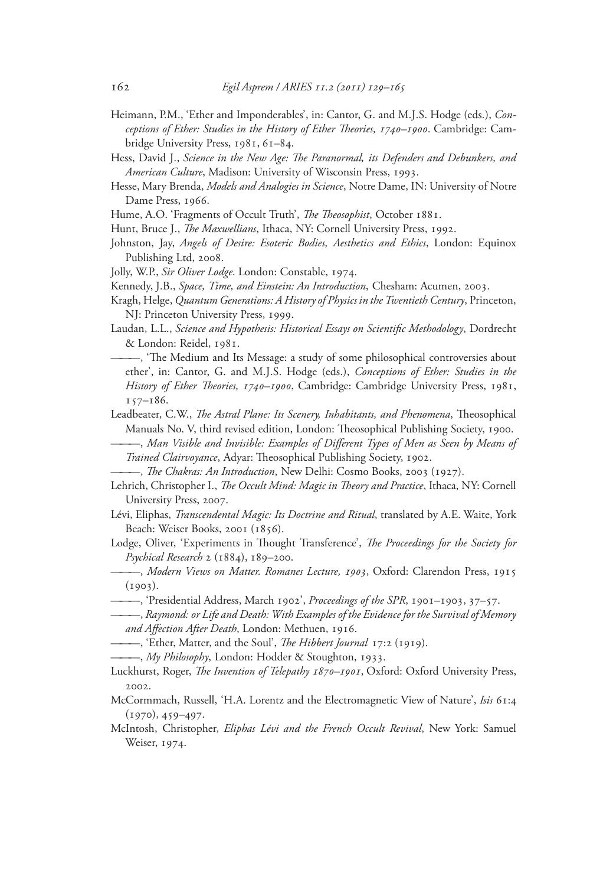- Heimann, P.M., 'Ether and Imponderables', in: Cantor, G. and M.J.S. Hodge (eds.), Conceptions of Ether: Studies in the History of Ether Theories, 1740-1900. Cambridge: Cambridge University Press, 1981, 61-84.
- Hess, David J., Science in the New Age: The Paranormal, its Defenders and Debunkers, and American Culture, Madison: University of Wisconsin Press, 1993.
- Hesse, Mary Brenda, Models and Analogies in Science, Notre Dame, IN: University of Notre Dame Press, 1966.
- Hume, A.O. 'Fragments of Occult Truth', The Theosophist, October 1881.
- Hunt, Bruce J., The Maxwellians, Ithaca, NY: Cornell University Press, 1992.
- Johnston, Jay, Angels of Desire: Esoteric Bodies, Aesthetics and Ethics, London: Equinox Publishing Ltd, 2008.
- Jolly, W.P., Sir Oliver Lodge. London: Constable, 1974.
- Kennedy, J.B., Space, Time, and Einstein: An Introduction, Chesham: Acumen, 2003.
- Kragh, Helge, Quantum Generations: A History of Physics in the Twentieth Century, Princeton, NJ: Princeton University Press, 1999.
- Laudan, L.L., Science and Hypothesis: Historical Essays on Scientific Methodology, Dordrecht & London: Reidel, 1981.
- -, 'The Medium and Its Message: a study of some philosophical controversies about ether', in: Cantor, G. and M.J.S. Hodge (eds.), Conceptions of Ether: Studies in the History of Ether Theories, 1740-1900, Cambridge: Cambridge University Press, 1981,  $157 - 186$ .
- Leadbeater, C.W., The Astral Plane: Its Scenery, Inhabitants, and Phenomena, Theosophical Manuals No. V, third revised edition, London: Theosophical Publishing Society, 1900.
	- —, Man Visible and Invisible: Examples of Different Types of Men as Seen by Means of Trained Clairvoyance, Adyar: Theosophical Publishing Society, 1902.
	- -, The Chakras: An Introduction, New Delhi: Cosmo Books, 2003 (1927).
- Lehrich, Christopher I., The Occult Mind: Magic in Theory and Practice, Ithaca, NY: Cornell University Press, 2007.
- Lévi, Eliphas, Transcendental Magic: Its Doctrine and Ritual, translated by A.E. Waite, York Beach: Weiser Books, 2001 (1856).
- Lodge, Oliver, 'Experiments in Thought Transference', The Proceedings for the Society for Psychical Research 2 (1884), 189-200.
- -, Modern Views on Matter. Romanes Lecture, 1903, Oxford: Clarendon Press, 1915  $(1903)$ .
- -------, 'Presidential Address, March 1902', Proceedings of the SPR, 1901-1903, 37-57.
- ----, Raymond: or Life and Death: With Examples of the Evidence for the Survival of Memory and Affection After Death, London: Methuen, 1916.
- ----, 'Ether, Matter, and the Soul', The Hibbert Journal 17:2 (1919).
- My Philosophy, London: Hodder & Stoughton, 1933.
- Luckhurst, Roger, The Invention of Telepathy 1870-1901, Oxford: Oxford University Press, 2002.
- McCormmach, Russell, 'H.A. Lorentz and the Electromagnetic View of Nature', Isis 61:4  $(1970), 459 - 497.$
- McIntosh, Christopher, Eliphas Lévi and the French Occult Revival, New York: Samuel Weiser, 1974.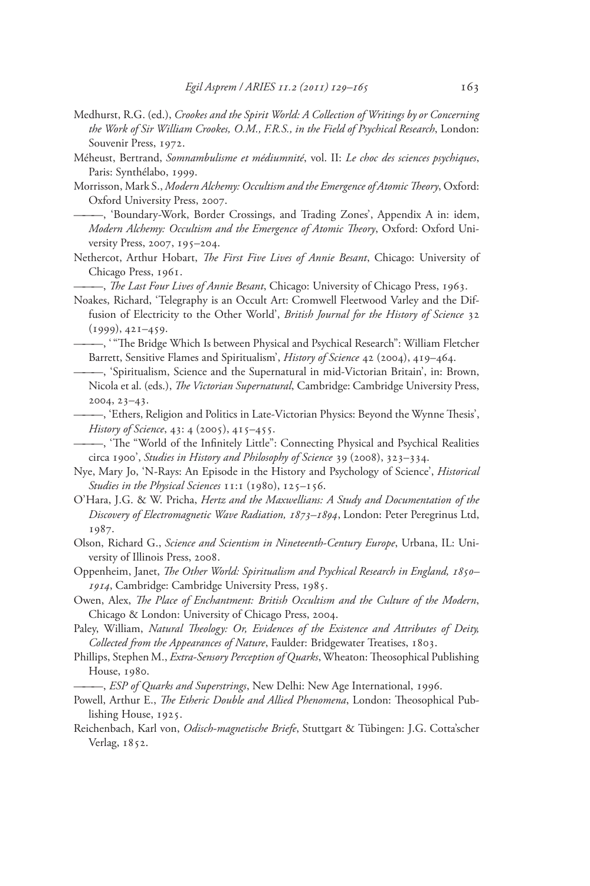- Medhurst, R.G. (ed.), Crookes and the Spirit World: A Collection of Writings by or Concerning the Work of Sir William Crookes, O.M., F.R.S., in the Field of Psychical Research, London: Souvenir Press, 1972.
- Méheust, Bertrand, Somnambulisme et médiumnité, vol. II: Le choc des sciences psychiques, Paris: Synthélabo, 1999.
- Morrisson, Mark S., Modern Alchemy: Occultism and the Emergence of Atomic Theory, Oxford: Oxford University Press, 2007.
- - Soundary-Work, Border Crossings, and Trading Zones', Appendix A in: idem, Modern Alchemy: Occultism and the Emergence of Atomic Theory, Oxford: Oxford University Press, 2007, 195-204.
- Nethercot, Arthur Hobart, The First Five Lives of Annie Besant, Chicago: University of Chicago Press, 1961.
- -, The Last Four Lives of Annie Besant, Chicago: University of Chicago Press, 1963.
- Noakes, Richard, 'Telegraphy is an Occult Art: Cromwell Fleetwood Varley and the Diffusion of Electricity to the Other World', British Journal for the History of Science 32  $(1999), 421 - 459.$ 
	- -, "The Bridge Which Is between Physical and Psychical Research": William Fletcher Barrett, Sensitive Flames and Spiritualism', History of Science 42 (2004), 419-464.
- - Spiritualism, Science and the Supernatural in mid-Victorian Britain', in: Brown, Nicola et al. (eds.), *The Victorian Supernatural*, Cambridge: Cambridge University Press,  $2004, 23 - 43.$ 
	- -, 'Ethers, Religion and Politics in Late-Victorian Physics: Beyond the Wynne Thesis', History of Science, 43: 4 (2005), 415-455.
- -----, 'The "World of the Infinitely Little": Connecting Physical and Psychical Realities circa 1900', Studies in History and Philosophy of Science 39 (2008), 323-334.
- Nye, Mary Jo, 'N-Rays: An Episode in the History and Psychology of Science', Historical Studies in the Physical Sciences 11:1 (1980), 125-156.
- O'Hara, J.G. & W. Pricha, Hertz and the Maxwellians: A Study and Documentation of the Discovery of Electromagnetic Wave Radiation, 1873-1894, London: Peter Peregrinus Ltd, 1987.
- Olson, Richard G., Science and Scientism in Nineteenth-Century Europe, Urbana, IL: University of Illinois Press, 2008.
- Oppenheim, Janet, The Other World: Spiritualism and Psychical Research in England, 1850-1914, Cambridge: Cambridge University Press, 1985.
- Owen, Alex, The Place of Enchantment: British Occultism and the Culture of the Modern, Chicago & London: University of Chicago Press, 2004.
- Paley, William, Natural Theology: Or, Evidences of the Existence and Attributes of Deity, Collected from the Appearances of Nature, Faulder: Bridgewater Treatises, 1803.
- Phillips, Stephen M., Extra-Sensory Perception of Quarks, Wheaton: Theosophical Publishing House, 1980.
- -, ESP of Quarks and Superstrings, New Delhi: New Age International, 1996.
- Powell, Arthur E., The Etheric Double and Allied Phenomena, London: Theosophical Publishing House, 1925.
- Reichenbach, Karl von, Odisch-magnetische Briefe, Stuttgart & Tübingen: J.G. Cotta'scher Verlag, 1852.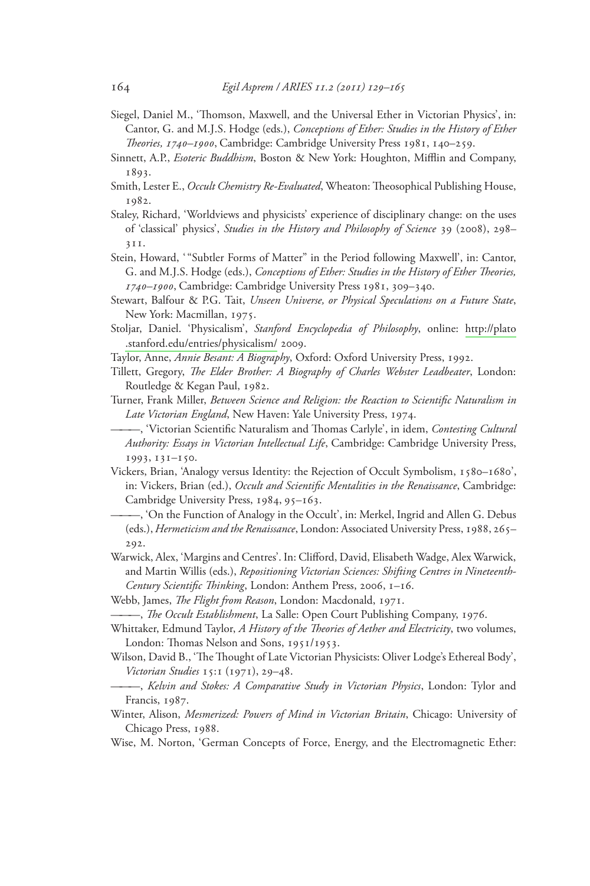- Siegel, Daniel M., 'Thomson, Maxwell, and the Universal Ether in Victorian Physics', in: Cantor, G. and M.J.S. Hodge (eds.), Conceptions of Ether: Studies in the History of Ether Theories, 1740-1900, Cambridge: Cambridge University Press 1981, 140-259.
- Sinnett, A.P., Esoteric Buddhism, Boston & New York: Houghton, Mifflin and Company, 1893.
- Smith, Lester E., Occult Chemistry Re-Evaluated, Wheaton: Theosophical Publishing House,  $1982.$
- Staley, Richard, 'Worldviews and physicists' experience of disciplinary change: on the uses of 'classical' physics', Studies in the History and Philosophy of Science 39 (2008), 298-311.
- Stein, Howard, "Subtler Forms of Matter" in the Period following Maxwell', in: Cantor, G. and M.J.S. Hodge (eds.), Conceptions of Ether: Studies in the History of Ether Theories, 1740-1900, Cambridge: Cambridge University Press 1981, 309-340.
- Stewart, Balfour & P.G. Tait, Unseen Universe, or Physical Speculations on a Future State, New York: Macmillan, 1975.
- Stoljar, Daniel. 'Physicalism', Stanford Encyclopedia of Philosophy, online: http://plato .stanford.edu/entries/physicalism/ 2009.
- Taylor, Anne, Annie Besant: A Biography, Oxford: Oxford University Press, 1992.
- Tillett, Gregory, The Elder Brother: A Biography of Charles Webster Leadbeater, London: Routledge & Kegan Paul, 1982.
- Turner, Frank Miller, Between Science and Religion: the Reaction to Scientific Naturalism in Late Victorian England, New Haven: Yale University Press, 1974.
- ------, 'Victorian Scientific Naturalism and Thomas Carlyle', in idem, Contesting Cultural Authority: Essays in Victorian Intellectual Life, Cambridge: Cambridge University Press,  $1993, 131 - 150.$
- Vickers, Brian, 'Analogy versus Identity: the Rejection of Occult Symbolism, 1580-1680', in: Vickers, Brian (ed.), Occult and Scientific Mentalities in the Renaissance, Cambridge: Cambridge University Press, 1984, 95-163.
- ----, 'On the Function of Analogy in the Occult', in: Merkel, Ingrid and Allen G. Debus (eds.), Hermeticism and the Renaissance, London: Associated University Press, 1988, 265- $292.$
- Warwick, Alex, 'Margins and Centres'. In: Clifford, David, Elisabeth Wadge, Alex Warwick, and Martin Willis (eds.), Repositioning Victorian Sciences: Shifting Centres in Nineteenth-Century Scientific Thinking, London: Anthem Press, 2006, 1-16.
- Webb, James, The Flight from Reason, London: Macdonald, 1971.

-, The Occult Establishment, La Salle: Open Court Publishing Company, 1976.

- Whittaker, Edmund Taylor, A History of the Theories of Aether and Electricity, two volumes, London: Thomas Nelson and Sons, 1951/1953.
- Wilson, David B., 'The Thought of Late Victorian Physicists: Oliver Lodge's Ethereal Body', Victorian Studies  $15:1 (1971), 29-48.$
- Kelvin and Stokes: A Comparative Study in Victorian Physics, London: Tylor and Francis, 1987.
- Winter, Alison, Mesmerized: Powers of Mind in Victorian Britain, Chicago: University of Chicago Press, 1988.
- Wise, M. Norton, 'German Concepts of Force, Energy, and the Electromagnetic Ether: